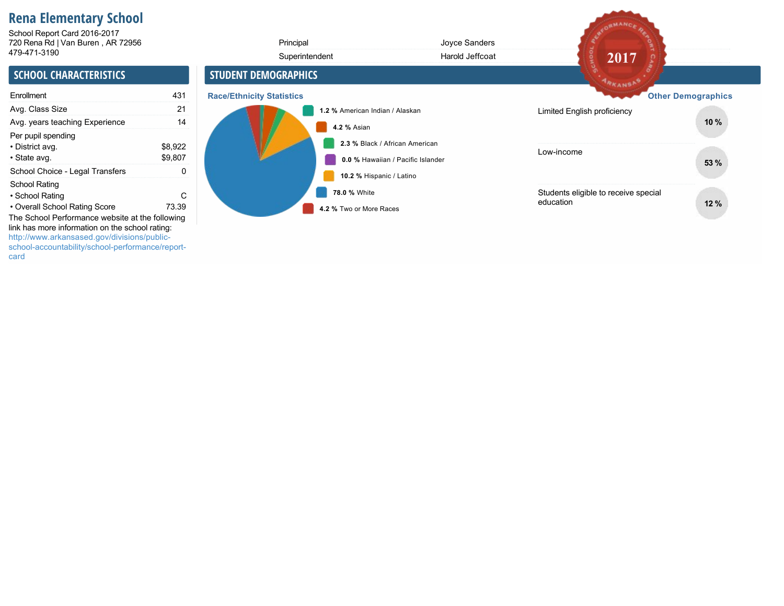# **Rena Elementary School**

720 Rena Rd | Van Buren , AR 72956 4794713190 School Report Card 2016-2017

| 720 Rena Rd   Van Buren, AR 72956                                                                                                                                       |                    | Principal                        | Joyce Sanders                                                       |                                                   |                           |
|-------------------------------------------------------------------------------------------------------------------------------------------------------------------------|--------------------|----------------------------------|---------------------------------------------------------------------|---------------------------------------------------|---------------------------|
| 479-471-3190                                                                                                                                                            |                    | Superintendent                   | Harold Jeffcoat                                                     | 2017                                              |                           |
| <b>SCHOOL CHARACTERISTICS</b>                                                                                                                                           |                    | <b>STUDENT DEMOGRAPHICS</b>      |                                                                     | ARKANSAS                                          |                           |
| Enrollment                                                                                                                                                              | 431                | <b>Race/Ethnicity Statistics</b> |                                                                     |                                                   | <b>Other Demographics</b> |
| Avg. Class Size                                                                                                                                                         | 21                 |                                  | 1.2 % American Indian / Alaskan                                     | Limited English proficiency                       |                           |
| Avg. years teaching Experience                                                                                                                                          | 14                 |                                  | 4.2 % Asian                                                         |                                                   | 10%                       |
| Per pupil spending<br>• District avg.<br>• State avg.                                                                                                                   | \$8,922<br>\$9,807 |                                  | 2.3 % Black / African American<br>0.0 % Hawaiian / Pacific Islander | Low-income                                        | 53 %                      |
| School Choice - Legal Transfers                                                                                                                                         | 0                  |                                  | 10.2 % Hispanic / Latino                                            |                                                   |                           |
| School Rating<br>• School Rating<br>• Overall School Rating Score<br>The School Performance website at the following<br>link has more information on the school rating: | C<br>73.39         |                                  | 78.0 % White<br>4.2 % Two or More Races                             | Students eligible to receive special<br>education | 12 %                      |
| http://www.arkansased.gov/divisions/public-<br>school-accountability/school-performance/report-                                                                         |                    |                                  |                                                                     |                                                   |                           |

REDRMANCE RE

card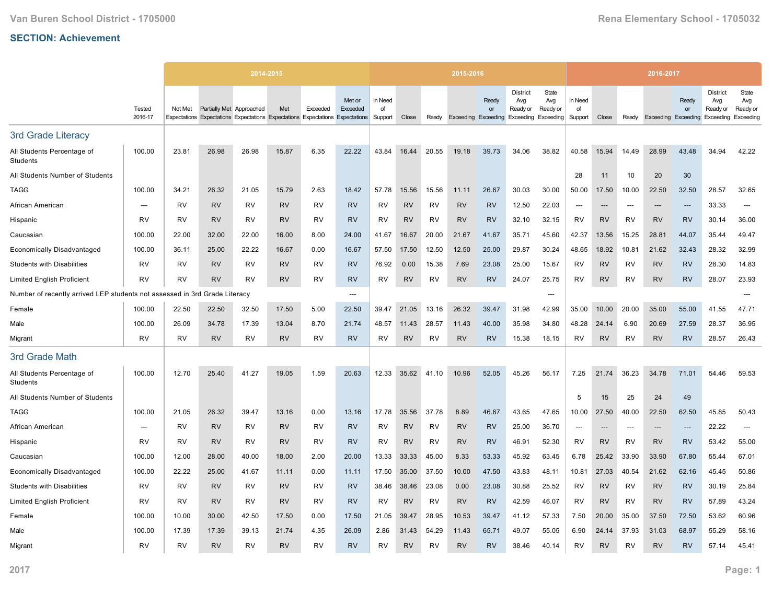|                                                             |                          |           |                          | 2014-2015 |           |           |                                                                                                     |                          |           |           | 2015-2016 |                                                        |                                    |                          |                          |           |           | 2016-2017                  |             |                                                 |                                       |
|-------------------------------------------------------------|--------------------------|-----------|--------------------------|-----------|-----------|-----------|-----------------------------------------------------------------------------------------------------|--------------------------|-----------|-----------|-----------|--------------------------------------------------------|------------------------------------|--------------------------|--------------------------|-----------|-----------|----------------------------|-------------|-------------------------------------------------|---------------------------------------|
|                                                             | Tested<br>2016-17        | Not Met   | Partially Met Approached |           | Met       | Exceeded  | Met or<br>Exceeded<br>Expectations Expectations Expectations Expectations Expectations Expectations | In Need<br>of<br>Support | Close     | Ready     |           | Ready<br>or<br>Exceeding Exceeding Exceeding Exceeding | <b>District</b><br>Avg<br>Ready or | State<br>Avg<br>Ready or | In Need<br>of<br>Support | Close     | Ready     | <b>Exceeding Exceeding</b> | Ready<br>or | <b>District</b><br>Avg<br>Ready or<br>Exceeding | State<br>Avg<br>Ready or<br>Exceeding |
| 3rd Grade Literacy                                          |                          |           |                          |           |           |           |                                                                                                     |                          |           |           |           |                                                        |                                    |                          |                          |           |           |                            |             |                                                 |                                       |
| All Students Percentage of<br>Students                      | 100.00                   | 23.81     | 26.98                    | 26.98     | 15.87     | 6.35      | 22.22                                                                                               | 43.84                    | 16.44     | 20.55     | 19.18     | 39.73                                                  | 34.06                              | 38.82                    | 40.58                    | 15.94     | 14.49     | 28.99                      | 43.48       | 34.94                                           | 42.22                                 |
| All Students Number of Students                             |                          |           |                          |           |           |           |                                                                                                     |                          |           |           |           |                                                        |                                    |                          | 28                       | 11        | 10        | 20                         | 30          |                                                 |                                       |
| <b>TAGG</b>                                                 | 100.00                   | 34.21     | 26.32                    | 21.05     | 15.79     | 2.63      | 18.42                                                                                               | 57.78                    | 15.56     | 15.56     | 11.11     | 26.67                                                  | 30.03                              | 30.00                    | 50.00                    | 17.50     | 10.00     | 22.50                      | 32.50       | 28.57                                           | 32.65                                 |
| African American                                            | $\overline{\phantom{a}}$ | RV        | <b>RV</b>                | RV        | <b>RV</b> | <b>RV</b> | <b>RV</b>                                                                                           | RV                       | <b>RV</b> | <b>RV</b> | <b>RV</b> | <b>RV</b>                                              | 12.50                              | 22.03                    | $\overline{\phantom{a}}$ | ---       | ---       | $\overline{\phantom{a}}$   | ---         | 33.33                                           | ---                                   |
| Hispanic                                                    | <b>RV</b>                | <b>RV</b> | <b>RV</b>                | RV        | <b>RV</b> | <b>RV</b> | <b>RV</b>                                                                                           | RV                       | <b>RV</b> | RV        | <b>RV</b> | <b>RV</b>                                              | 32.10                              | 32.15                    | <b>RV</b>                | <b>RV</b> | <b>RV</b> | <b>RV</b>                  | <b>RV</b>   | 30.14                                           | 36.00                                 |
| Caucasian                                                   | 100.00                   | 22.00     | 32.00                    | 22.00     | 16.00     | 8.00      | 24.00                                                                                               | 41.67                    | 16.67     | 20.00     | 21.67     | 41.67                                                  | 35.71                              | 45.60                    | 42.37                    | 13.56     | 15.25     | 28.81                      | 44.07       | 35.44                                           | 49.47                                 |
| <b>Economically Disadvantaged</b>                           | 100.00                   | 36.11     | 25.00                    | 22.22     | 16.67     | 0.00      | 16.67                                                                                               | 57.50                    | 17.50     | 12.50     | 12.50     | 25.00                                                  | 29.87                              | 30.24                    | 48.65                    | 18.92     | 10.81     | 21.62                      | 32.43       | 28.32                                           | 32.99                                 |
| <b>Students with Disabilities</b>                           | RV                       | RV        | <b>RV</b>                | RV        | <b>RV</b> | <b>RV</b> | <b>RV</b>                                                                                           | 76.92                    | 0.00      | 15.38     | 7.69      | 23.08                                                  | 25.00                              | 15.67                    | RV                       | <b>RV</b> | RV        | <b>RV</b>                  | <b>RV</b>   | 28.30                                           | 14.83                                 |
| <b>Limited English Proficient</b>                           | <b>RV</b>                | <b>RV</b> | <b>RV</b>                | <b>RV</b> | <b>RV</b> | RV        | <b>RV</b>                                                                                           | RV                       | <b>RV</b> | <b>RV</b> | <b>RV</b> | <b>RV</b>                                              | 24.07                              | 25.75                    | <b>RV</b>                | <b>RV</b> | <b>RV</b> | <b>RV</b>                  | <b>RV</b>   | 28.07                                           | 23.93                                 |
| Number of recently arrived LEP students not assessed in 3rd |                          |           | Grade Literacy           |           |           |           | $---$                                                                                               |                          |           |           |           |                                                        |                                    | ---                      |                          |           |           |                            |             |                                                 |                                       |
| Female                                                      | 100.00                   | 22.50     | 22.50                    | 32.50     | 17.50     | 5.00      | 22.50                                                                                               | 39.47                    | 21.05     | 13.16     | 26.32     | 39.47                                                  | 31.98                              | 42.99                    | 35.00                    | 10.00     | 20.00     | 35.00                      | 55.00       | 41.55                                           | 47.71                                 |
| Male                                                        | 100.00                   | 26.09     | 34.78                    | 17.39     | 13.04     | 8.70      | 21.74                                                                                               | 48.57                    | 11.43     | 28.57     | 11.43     | 40.00                                                  | 35.98                              | 34.80                    | 48.28                    | 24.14     | 6.90      | 20.69                      | 27.59       | 28.37                                           | 36.95                                 |
| Migrant                                                     | <b>RV</b>                | <b>RV</b> | <b>RV</b>                | <b>RV</b> | <b>RV</b> | RV        | <b>RV</b>                                                                                           | RV                       | <b>RV</b> | RV        | <b>RV</b> | <b>RV</b>                                              | 15.38                              | 18.15                    | RV                       | <b>RV</b> | <b>RV</b> | <b>RV</b>                  | <b>RV</b>   | 28.57                                           | 26.43                                 |
| 3rd Grade Math                                              |                          |           |                          |           |           |           |                                                                                                     |                          |           |           |           |                                                        |                                    |                          |                          |           |           |                            |             |                                                 |                                       |
| All Students Percentage of<br>Students                      | 100.00                   | 12.70     | 25.40                    | 41.27     | 19.05     | 1.59      | 20.63                                                                                               | 12.33                    | 35.62     | 41.10     | 10.96     | 52.05                                                  | 45.26                              | 56.17                    | 7.25                     | 21.74     | 36.23     | 34.78                      | 71.01       | 54.46                                           | 59.53                                 |
| All Students Number of Students                             |                          |           |                          |           |           |           |                                                                                                     |                          |           |           |           |                                                        |                                    |                          | 5                        | 15        | 25        | 24                         | 49          |                                                 |                                       |
| TAGG                                                        | 100.00                   | 21.05     | 26.32                    | 39.47     | 13.16     | 0.00      | 13.16                                                                                               | 17.78                    | 35.56     | 37.78     | 8.89      | 46.67                                                  | 43.65                              | 47.65                    | 10.00                    | 27.50     | 40.00     | 22.50                      | 62.50       | 45.85                                           | 50.43                                 |
| African American                                            | ---                      | <b>RV</b> | <b>RV</b>                | <b>RV</b> | <b>RV</b> | <b>RV</b> | <b>RV</b>                                                                                           | <b>RV</b>                | <b>RV</b> | <b>RV</b> | <b>RV</b> | <b>RV</b>                                              | 25.00                              | 36.70                    | ---                      | ---       |           | ---                        | ---         | 22.22                                           | ---                                   |
| Hispanic                                                    | <b>RV</b>                | RV        | <b>RV</b>                | <b>RV</b> | <b>RV</b> | <b>RV</b> | <b>RV</b>                                                                                           | RV                       | <b>RV</b> | <b>RV</b> | <b>RV</b> | <b>RV</b>                                              | 46.91                              | 52.30                    | <b>RV</b>                | <b>RV</b> | RV        | <b>RV</b>                  | <b>RV</b>   | 53.42                                           | 55.00                                 |
| Caucasian                                                   | 100.00                   | 12.00     | 28.00                    | 40.00     | 18.00     | 2.00      | 20.00                                                                                               | 13.33                    | 33.33     | 45.00     | 8.33      | 53.33                                                  | 45.92                              | 63.45                    | 6.78                     | 25.42     | 33.90     | 33.90                      | 67.80       | 55.44                                           | 67.01                                 |
| <b>Economically Disadvantaged</b>                           | 100.00                   | 22.22     | 25.00                    | 41.67     | 11.11     | 0.00      | 11.11                                                                                               | 17.50                    | 35.00     | 37.50     | 10.00     | 47.50                                                  | 43.83                              | 48.11                    | 10.81                    | 27.03     | 40.54     | 21.62                      | 62.16       | 45.45                                           | 50.86                                 |
| <b>Students with Disabilities</b>                           | <b>RV</b>                | <b>RV</b> | <b>RV</b>                | <b>RV</b> | <b>RV</b> | <b>RV</b> | <b>RV</b>                                                                                           | 38.46                    | 38.46     | 23.08     | 0.00      | 23.08                                                  | 30.88                              | 25.52                    | <b>RV</b>                | <b>RV</b> | <b>RV</b> | <b>RV</b>                  | <b>RV</b>   | 30.19                                           | 25.84                                 |
| <b>Limited English Proficient</b>                           | RV                       | RV        | <b>RV</b>                | RV        | <b>RV</b> | <b>RV</b> | <b>RV</b>                                                                                           | RV                       | <b>RV</b> | <b>RV</b> | <b>RV</b> | <b>RV</b>                                              | 42.59                              | 46.07                    | RV                       | <b>RV</b> | RV        | <b>RV</b>                  | <b>RV</b>   | 57.89                                           | 43.24                                 |
| Female                                                      | 100.00                   | 10.00     | 30.00                    | 42.50     | 17.50     | 0.00      | 17.50                                                                                               | 21.05                    | 39.47     | 28.95     | 10.53     | 39.47                                                  | 41.12                              | 57.33                    | 7.50                     | 20.00     | 35.00     | 37.50                      | 72.50       | 53.62                                           | 60.96                                 |
| Male                                                        | 100.00                   | 17.39     | 17.39                    | 39.13     | 21.74     | 4.35      | 26.09                                                                                               | 2.86                     | 31.43     | 54.29     | 11.43     | 65.71                                                  | 49.07                              | 55.05                    | 6.90                     | 24.14     | 37.93     | 31.03                      | 68.97       | 55.29                                           | 58.16                                 |
| Migrant                                                     | <b>RV</b>                | RV        | <b>RV</b>                | RV        | <b>RV</b> | <b>RV</b> | <b>RV</b>                                                                                           | RV                       | <b>RV</b> | RV        | <b>RV</b> | <b>RV</b>                                              | 38.46                              | 40.14                    | RV                       | <b>RV</b> | RV        | <b>RV</b>                  | <b>RV</b>   | 57.14                                           | 45.41                                 |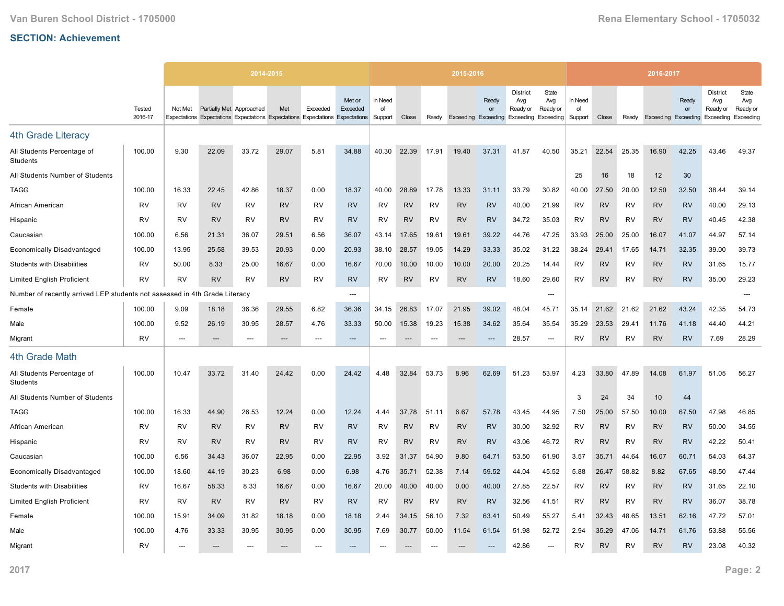|                                                             |                   |         |                          | 2014-2015                                                                     |           |                |                    |                          |           |           | 2015-2016 |                                           |                                                                  |                          |                          |           |           | 2016-2017                  |             |                                                 |                                       |
|-------------------------------------------------------------|-------------------|---------|--------------------------|-------------------------------------------------------------------------------|-----------|----------------|--------------------|--------------------------|-----------|-----------|-----------|-------------------------------------------|------------------------------------------------------------------|--------------------------|--------------------------|-----------|-----------|----------------------------|-------------|-------------------------------------------------|---------------------------------------|
|                                                             | Tested<br>2016-17 | Not Met | Partially Met Approached | Expectations Expectations Expectations Expectations Expectations Expectations | Met       | Exceeded       | Met or<br>Exceeded | In Need<br>of<br>Support | Close     | Ready     |           | Ready<br>or<br><b>Exceeding Exceeding</b> | <b>District</b><br>Avg<br>Ready or<br><b>Exceeding Exceeding</b> | State<br>Avg<br>Ready or | In Need<br>of<br>Support | Close     | Ready     | <b>Exceeding Exceeding</b> | Ready<br>or | <b>District</b><br>Avg<br>Ready or<br>Exceeding | State<br>Avg<br>Ready or<br>Exceeding |
| <b>4th Grade Literacy</b>                                   |                   |         |                          |                                                                               |           |                |                    |                          |           |           |           |                                           |                                                                  |                          |                          |           |           |                            |             |                                                 |                                       |
| All Students Percentage of<br>Students                      | 100.00            | 9.30    | 22.09                    | 33.72                                                                         | 29.07     | 5.81           | 34.88              | 40.30                    | 22.39     | 17.91     | 19.40     | 37.31                                     | 41.87                                                            | 40.50                    | 35.21                    | 22.54     | 25.35     | 16.90                      | 42.25       | 43.46                                           | 49.37                                 |
| All Students Number of Students                             |                   |         |                          |                                                                               |           |                |                    |                          |           |           |           |                                           |                                                                  |                          | 25                       | 16        | 18        | 12                         | 30          |                                                 |                                       |
| <b>TAGG</b>                                                 | 100.00            | 16.33   | 22.45                    | 42.86                                                                         | 18.37     | 0.00           | 18.37              | 40.00                    | 28.89     | 17.78     | 13.33     | 31.11                                     | 33.79                                                            | 30.82                    | 40.00                    | 27.50     | 20.00     | 12.50                      | 32.50       | 38.44                                           | 39.14                                 |
| African American                                            | <b>RV</b>         | RV      | <b>RV</b>                | RV                                                                            | <b>RV</b> | <b>RV</b>      | <b>RV</b>          | RV                       | <b>RV</b> | <b>RV</b> | <b>RV</b> | <b>RV</b>                                 | 40.00                                                            | 21.99                    | <b>RV</b>                | <b>RV</b> | <b>RV</b> | <b>RV</b>                  | <b>RV</b>   | 40.00                                           | 29.13                                 |
| Hispanic                                                    | <b>RV</b>         | RV      | <b>RV</b>                | RV                                                                            | <b>RV</b> | RV             | <b>RV</b>          | RV                       | <b>RV</b> | RV        | <b>RV</b> | <b>RV</b>                                 | 34.72                                                            | 35.03                    | RV                       | <b>RV</b> | RV        | <b>RV</b>                  | <b>RV</b>   | 40.45                                           | 42.38                                 |
| Caucasian                                                   | 100.00            | 6.56    | 21.31                    | 36.07                                                                         | 29.51     | 6.56           | 36.07              | 43.14                    | 17.65     | 19.61     | 19.61     | 39.22                                     | 44.76                                                            | 47.25                    | 33.93                    | 25.00     | 25.00     | 16.07                      | 41.07       | 44.97                                           | 57.14                                 |
| <b>Economically Disadvantaged</b>                           | 100.00            | 13.95   | 25.58                    | 39.53                                                                         | 20.93     | 0.00           | 20.93              | 38.10                    | 28.57     | 19.05     | 14.29     | 33.33                                     | 35.02                                                            | 31.22                    | 38.24                    | 29.41     | 17.65     | 14.71                      | 32.35       | 39.00                                           | 39.73                                 |
| <b>Students with Disabilities</b>                           | RV                | 50.00   | 8.33                     | 25.00                                                                         | 16.67     | 0.00           | 16.67              | 70.00                    | 10.00     | 10.00     | 10.00     | 20.00                                     | 20.25                                                            | 14.44                    | RV                       | <b>RV</b> | RV        | <b>RV</b>                  | <b>RV</b>   | 31.65                                           | 15.77                                 |
| <b>Limited English Proficient</b>                           | <b>RV</b>         | RV      | <b>RV</b>                | <b>RV</b>                                                                     | <b>RV</b> | RV             | <b>RV</b>          | RV                       | <b>RV</b> | RV        | <b>RV</b> | <b>RV</b>                                 | 18.60                                                            | 29.60                    | RV                       | <b>RV</b> | RV        | <b>RV</b>                  | <b>RV</b>   | 35.00                                           | 29.23                                 |
| Number of recently arrived LEP students not assessed in 4th |                   |         | Grade Literacy           |                                                                               |           |                | $---$              |                          |           |           |           |                                           |                                                                  | ---                      |                          |           |           |                            |             |                                                 | ---                                   |
| Female                                                      | 100.00            | 9.09    | 18.18                    | 36.36                                                                         | 29.55     | 6.82           | 36.36              | 34.15                    | 26.83     | 17.07     | 21.95     | 39.02                                     | 48.04                                                            | 45.71                    | 35.14                    | 21.62     | 21.62     | 21.62                      | 43.24       | 42.35                                           | 54.73                                 |
| Male                                                        | 100.00            | 9.52    | 26.19                    | 30.95                                                                         | 28.57     | 4.76           | 33.33              | 50.00                    | 15.38     | 19.23     | 15.38     | 34.62                                     | 35.64                                                            | 35.54                    | 35.29                    | 23.53     | 29.41     | 11.76                      | 41.18       | 44.40                                           | 44.21                                 |
| Migrant                                                     | <b>RV</b>         | $---$   | ---                      | $---$                                                                         | $---$     | $---$          | $---$              | $---$                    | $---$     | $---$     | $---$     | $---$                                     | 28.57                                                            | ---                      | <b>RV</b>                | <b>RV</b> | <b>RV</b> | <b>RV</b>                  | <b>RV</b>   | 7.69                                            | 28.29                                 |
| 4th Grade Math                                              |                   |         |                          |                                                                               |           |                |                    |                          |           |           |           |                                           |                                                                  |                          |                          |           |           |                            |             |                                                 |                                       |
| All Students Percentage of<br>Students                      | 100.00            | 10.47   | 33.72                    | 31.40                                                                         | 24.42     | 0.00           | 24.42              | 4.48                     | 32.84     | 53.73     | 8.96      | 62.69                                     | 51.23                                                            | 53.97                    | 4.23                     | 33.80     | 47.89     | 14.08                      | 61.97       | 51.05                                           | 56.27                                 |
| All Students Number of Students                             |                   |         |                          |                                                                               |           |                |                    |                          |           |           |           |                                           |                                                                  |                          | 3                        | 24        | 34        | 10                         | 44          |                                                 |                                       |
| <b>TAGG</b>                                                 | 100.00            | 16.33   | 44.90                    | 26.53                                                                         | 12.24     | 0.00           | 12.24              | 4.44                     | 37.78     | 51.11     | 6.67      | 57.78                                     | 43.45                                                            | 44.95                    | 7.50                     | 25.00     | 57.50     | 10.00                      | 67.50       | 47.98                                           | 46.85                                 |
| African American                                            | <b>RV</b>         | RV      | <b>RV</b>                | <b>RV</b>                                                                     | <b>RV</b> | <b>RV</b>      | <b>RV</b>          | RV                       | <b>RV</b> | <b>RV</b> | <b>RV</b> | <b>RV</b>                                 | 30.00                                                            | 32.92                    | RV                       | <b>RV</b> | <b>RV</b> | <b>RV</b>                  | <b>RV</b>   | 50.00                                           | 34.55                                 |
| Hispanic                                                    | <b>RV</b>         | RV      | <b>RV</b>                | RV                                                                            | <b>RV</b> | RV             | <b>RV</b>          | RV                       | <b>RV</b> | RV        | <b>RV</b> | <b>RV</b>                                 | 43.06                                                            | 46.72                    | <b>RV</b>                | <b>RV</b> | RV        | <b>RV</b>                  | <b>RV</b>   | 42.22                                           | 50.41                                 |
| Caucasian                                                   | 100.00            | 6.56    | 34.43                    | 36.07                                                                         | 22.95     | 0.00           | 22.95              | 3.92                     | 31.37     | 54.90     | 9.80      | 64.71                                     | 53.50                                                            | 61.90                    | 3.57                     | 35.71     | 44.64     | 16.07                      | 60.71       | 54.03                                           | 64.37                                 |
| <b>Economically Disadvantaged</b>                           | 100.00            | 18.60   | 44.19                    | 30.23                                                                         | 6.98      | 0.00           | 6.98               | 4.76                     | 35.71     | 52.38     | 7.14      | 59.52                                     | 44.04                                                            | 45.52                    | 5.88                     | 26.47     | 58.82     | 8.82                       | 67.65       | 48.50                                           | 47.44                                 |
| <b>Students with Disabilities</b>                           | RV                | 16.67   | 58.33                    | 8.33                                                                          | 16.67     | 0.00           | 16.67              | 20.00                    | 40.00     | 40.00     | 0.00      | 40.00                                     | 27.85                                                            | 22.57                    | RV                       | <b>RV</b> | RV        | <b>RV</b>                  | <b>RV</b>   | 31.65                                           | 22.10                                 |
| <b>Limited English Proficient</b>                           | RV                | RV      | <b>RV</b>                | RV                                                                            | <b>RV</b> | <b>RV</b>      | <b>RV</b>          | RV                       | <b>RV</b> | RV        | <b>RV</b> | <b>RV</b>                                 | 32.56                                                            | 41.51                    | RV                       | <b>RV</b> | RV        | <b>RV</b>                  | <b>RV</b>   | 36.07                                           | 38.78                                 |
| Female                                                      | 100.00            | 15.91   | 34.09                    | 31.82                                                                         | 18.18     | 0.00           | 18.18              | 2.44                     | 34.15     | 56.10     | 7.32      | 63.41                                     | 50.49                                                            | 55.27                    | 5.41                     | 32.43     | 48.65     | 13.51                      | 62.16       | 47.72                                           | 57.01                                 |
| Male                                                        | 100.00            | 4.76    | 33.33                    | 30.95                                                                         | 30.95     | 0.00           | 30.95              | 7.69                     | 30.77     | 50.00     | 11.54     | 61.54                                     | 51.98                                                            | 52.72                    | 2.94                     | 35.29     | 47.06     | 14.71                      | 61.76       | 53.88                                           | 55.56                                 |
| Migrant                                                     | <b>RV</b>         | $---$   | $---$                    | ---                                                                           | $---$     | $\overline{a}$ | $---$              | $---$                    | $---$     |           |           | $---$                                     | 42.86                                                            | ---                      | RV                       | <b>RV</b> | <b>RV</b> | <b>RV</b>                  | <b>RV</b>   | 23.08                                           | 40.32                                 |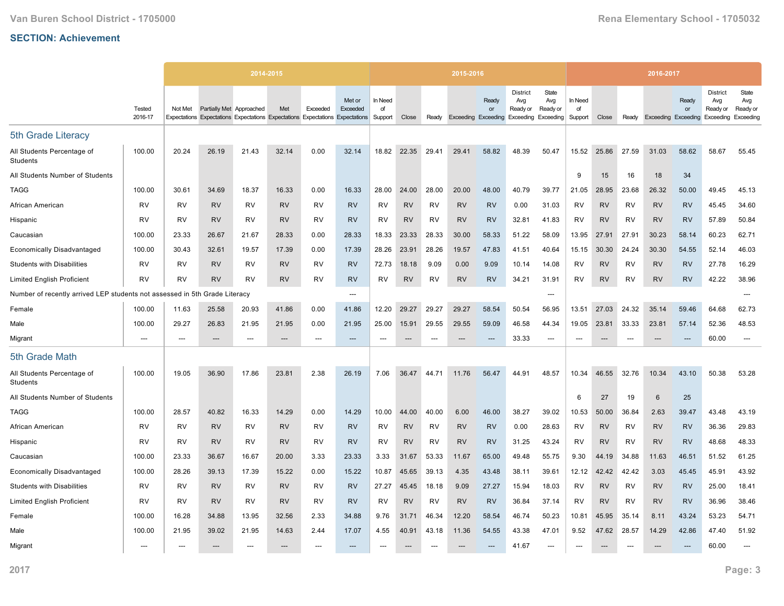|                                                                            |                   |           |                          | 2014-2015 |           |                |                                                                                                     |                          |           |           | 2015-2016 |                                           |                                                                  |                          |                          |           |           | 2016-2017                  |             |                                                 |                                       |
|----------------------------------------------------------------------------|-------------------|-----------|--------------------------|-----------|-----------|----------------|-----------------------------------------------------------------------------------------------------|--------------------------|-----------|-----------|-----------|-------------------------------------------|------------------------------------------------------------------|--------------------------|--------------------------|-----------|-----------|----------------------------|-------------|-------------------------------------------------|---------------------------------------|
|                                                                            | Tested<br>2016-17 | Not Met   | Partially Met Approached |           | Met       | Exceeded       | Met or<br>Exceeded<br>Expectations Expectations Expectations Expectations Expectations Expectations | In Need<br>of<br>Support | Close     | Ready     |           | Ready<br>or<br><b>Exceeding Exceeding</b> | <b>District</b><br>Avg<br>Ready or<br><b>Exceeding Exceeding</b> | State<br>Avg<br>Ready or | In Need<br>of<br>Support | Close     | Ready     | <b>Exceeding Exceeding</b> | Ready<br>or | <b>District</b><br>Avg<br>Ready or<br>Exceeding | State<br>Avg<br>Ready or<br>Exceeding |
| 5th Grade Literacy                                                         |                   |           |                          |           |           |                |                                                                                                     |                          |           |           |           |                                           |                                                                  |                          |                          |           |           |                            |             |                                                 |                                       |
| All Students Percentage of<br>Students                                     | 100.00            | 20.24     | 26.19                    | 21.43     | 32.14     | 0.00           | 32.14                                                                                               | 18.82                    | 22.35     | 29.41     | 29.41     | 58.82                                     | 48.39                                                            | 50.47                    | 15.52                    | 25.86     | 27.59     | 31.03                      | 58.62       | 58.67                                           | 55.45                                 |
| All Students Number of Students                                            |                   |           |                          |           |           |                |                                                                                                     |                          |           |           |           |                                           |                                                                  |                          | 9                        | 15        | 16        | 18                         | 34          |                                                 |                                       |
| <b>TAGG</b>                                                                | 100.00            | 30.61     | 34.69                    | 18.37     | 16.33     | 0.00           | 16.33                                                                                               | 28.00                    | 24.00     | 28.00     | 20.00     | 48.00                                     | 40.79                                                            | 39.77                    | 21.05                    | 28.95     | 23.68     | 26.32                      | 50.00       | 49.45                                           | 45.13                                 |
| African American                                                           | <b>RV</b>         | RV        | <b>RV</b>                | RV        | <b>RV</b> | <b>RV</b>      | <b>RV</b>                                                                                           | RV                       | <b>RV</b> | <b>RV</b> | <b>RV</b> | <b>RV</b>                                 | 0.00                                                             | 31.03                    | RV                       | <b>RV</b> | <b>RV</b> | <b>RV</b>                  | <b>RV</b>   | 45.45                                           | 34.60                                 |
| Hispanic                                                                   | <b>RV</b>         | RV        | <b>RV</b>                | RV        | <b>RV</b> | RV             | <b>RV</b>                                                                                           | RV                       | <b>RV</b> | RV        | <b>RV</b> | <b>RV</b>                                 | 32.81                                                            | 41.83                    | RV                       | <b>RV</b> | RV        | <b>RV</b>                  | <b>RV</b>   | 57.89                                           | 50.84                                 |
| Caucasian                                                                  | 100.00            | 23.33     | 26.67                    | 21.67     | 28.33     | 0.00           | 28.33                                                                                               | 18.33                    | 23.33     | 28.33     | 30.00     | 58.33                                     | 51.22                                                            | 58.09                    | 13.95                    | 27.91     | 27.91     | 30.23                      | 58.14       | 60.23                                           | 62.71                                 |
| <b>Economically Disadvantaged</b>                                          | 100.00            | 30.43     | 32.61                    | 19.57     | 17.39     | 0.00           | 17.39                                                                                               | 28.26                    | 23.91     | 28.26     | 19.57     | 47.83                                     | 41.51                                                            | 40.64                    | 15.15                    | 30.30     | 24.24     | 30.30                      | 54.55       | 52.14                                           | 46.03                                 |
| <b>Students with Disabilities</b>                                          | RV                | RV        | <b>RV</b>                | RV        | <b>RV</b> | RV             | <b>RV</b>                                                                                           | 72.73                    | 18.18     | 9.09      | 0.00      | 9.09                                      | 10.14                                                            | 14.08                    | RV                       | <b>RV</b> | RV        | <b>RV</b>                  | <b>RV</b>   | 27.78                                           | 16.29                                 |
| <b>Limited English Proficient</b>                                          | <b>RV</b>         | RV        | <b>RV</b>                | RV        | <b>RV</b> | RV             | <b>RV</b>                                                                                           | RV                       | <b>RV</b> | RV        | <b>RV</b> | <b>RV</b>                                 | 34.21                                                            | 31.91                    | RV                       | <b>RV</b> | RV        | <b>RV</b>                  | <b>RV</b>   | 42.22                                           | 38.96                                 |
| Number of recently arrived LEP students not assessed in 5th Grade Literacy |                   |           |                          |           |           |                | $\overline{\phantom{a}}$                                                                            |                          |           |           |           |                                           |                                                                  | ---                      |                          |           |           |                            |             |                                                 | ---                                   |
| Female                                                                     | 100.00            | 11.63     | 25.58                    | 20.93     | 41.86     | 0.00           | 41.86                                                                                               | 12.20                    | 29.27     | 29.27     | 29.27     | 58.54                                     | 50.54                                                            | 56.95                    | 13.51                    | 27.03     | 24.32     | 35.14                      | 59.46       | 64.68                                           | 62.73                                 |
| Male                                                                       | 100.00            | 29.27     | 26.83                    | 21.95     | 21.95     | 0.00           | 21.95                                                                                               | 25.00                    | 15.91     | 29.55     | 29.55     | 59.09                                     | 46.58                                                            | 44.34                    | 19.05                    | 23.81     | 33.33     | 23.81                      | 57.14       | 52.36                                           | 48.53                                 |
| Migrant                                                                    | $---$             | $---$     | $---$                    | $---$     | $---$     | $---$          | $---$                                                                                               | $---$                    | $---$     | $---$     | $---$     | $---$                                     | 33.33                                                            | ---                      | $---$                    | $---$     | $---$     | $\overline{\phantom{a}}$   | $---$       | 60.00                                           | $---$                                 |
| 5th Grade Math                                                             |                   |           |                          |           |           |                |                                                                                                     |                          |           |           |           |                                           |                                                                  |                          |                          |           |           |                            |             |                                                 |                                       |
| All Students Percentage of<br>Students                                     | 100.00            | 19.05     | 36.90                    | 17.86     | 23.81     | 2.38           | 26.19                                                                                               | 7.06                     | 36.47     | 44.71     | 11.76     | 56.47                                     | 44.91                                                            | 48.57                    | 10.34                    | 46.55     | 32.76     | 10.34                      | 43.10       | 50.38                                           | 53.28                                 |
| All Students Number of Students                                            |                   |           |                          |           |           |                |                                                                                                     |                          |           |           |           |                                           |                                                                  |                          | 6                        | 27        | 19        | $6\phantom{1}$             | 25          |                                                 |                                       |
| <b>TAGG</b>                                                                | 100.00            | 28.57     | 40.82                    | 16.33     | 14.29     | 0.00           | 14.29                                                                                               | 10.00                    | 44.00     | 40.00     | 6.00      | 46.00                                     | 38.27                                                            | 39.02                    | 10.53                    | 50.00     | 36.84     | 2.63                       | 39.47       | 43.48                                           | 43.19                                 |
| African American                                                           | <b>RV</b>         | <b>RV</b> | <b>RV</b>                | <b>RV</b> | <b>RV</b> | <b>RV</b>      | <b>RV</b>                                                                                           | RV                       | <b>RV</b> | <b>RV</b> | <b>RV</b> | <b>RV</b>                                 | 0.00                                                             | 28.63                    | RV                       | <b>RV</b> | <b>RV</b> | <b>RV</b>                  | <b>RV</b>   | 36.36                                           | 29.83                                 |
| Hispanic                                                                   | <b>RV</b>         | RV        | <b>RV</b>                | RV        | <b>RV</b> | RV             | <b>RV</b>                                                                                           | RV                       | <b>RV</b> | RV        | <b>RV</b> | <b>RV</b>                                 | 31.25                                                            | 43.24                    | <b>RV</b>                | <b>RV</b> | RV        | <b>RV</b>                  | <b>RV</b>   | 48.68                                           | 48.33                                 |
| Caucasian                                                                  | 100.00            | 23.33     | 36.67                    | 16.67     | 20.00     | 3.33           | 23.33                                                                                               | 3.33                     | 31.67     | 53.33     | 11.67     | 65.00                                     | 49.48                                                            | 55.75                    | 9.30                     | 44.19     | 34.88     | 11.63                      | 46.51       | 51.52                                           | 61.25                                 |
| <b>Economically Disadvantaged</b>                                          | 100.00            | 28.26     | 39.13                    | 17.39     | 15.22     | 0.00           | 15.22                                                                                               | 10.87                    | 45.65     | 39.13     | 4.35      | 43.48                                     | 38.11                                                            | 39.61                    | 12.12                    | 42.42     | 42.42     | 3.03                       | 45.45       | 45.91                                           | 43.92                                 |
| <b>Students with Disabilities</b>                                          | <b>RV</b>         | RV        | <b>RV</b>                | <b>RV</b> | <b>RV</b> | <b>RV</b>      | <b>RV</b>                                                                                           | 27.27                    | 45.45     | 18.18     | 9.09      | 27.27                                     | 15.94                                                            | 18.03                    | RV                       | <b>RV</b> | <b>RV</b> | <b>RV</b>                  | <b>RV</b>   | 25.00                                           | 18.41                                 |
| <b>Limited English Proficient</b>                                          | RV                | <b>RV</b> | <b>RV</b>                | RV        | <b>RV</b> | <b>RV</b>      | <b>RV</b>                                                                                           | <b>RV</b>                | <b>RV</b> | RV        | <b>RV</b> | <b>RV</b>                                 | 36.84                                                            | 37.14                    | RV                       | <b>RV</b> | RV        | <b>RV</b>                  | <b>RV</b>   | 36.96                                           | 38.46                                 |
| Female                                                                     | 100.00            | 16.28     | 34.88                    | 13.95     | 32.56     | 2.33           | 34.88                                                                                               | 9.76                     | 31.71     | 46.34     | 12.20     | 58.54                                     | 46.74                                                            | 50.23                    | 10.81                    | 45.95     | 35.14     | 8.11                       | 43.24       | 53.23                                           | 54.71                                 |
| Male                                                                       | 100.00            | 21.95     | 39.02                    | 21.95     | 14.63     | 2.44           | 17.07                                                                                               | 4.55                     | 40.91     | 43.18     | 11.36     | 54.55                                     | 43.38                                                            | 47.01                    | 9.52                     | 47.62     | 28.57     | 14.29                      | 42.86       | 47.40                                           | 51.92                                 |
| Migrant                                                                    | $---$             | $---$     | $---$                    | ---       | $---$     | $\overline{a}$ | $---$                                                                                               |                          | $---$     |           |           | ---                                       | 41.67                                                            | ---                      | $---$                    | $---$     |           | ---                        | $---$       | 60.00                                           | ---                                   |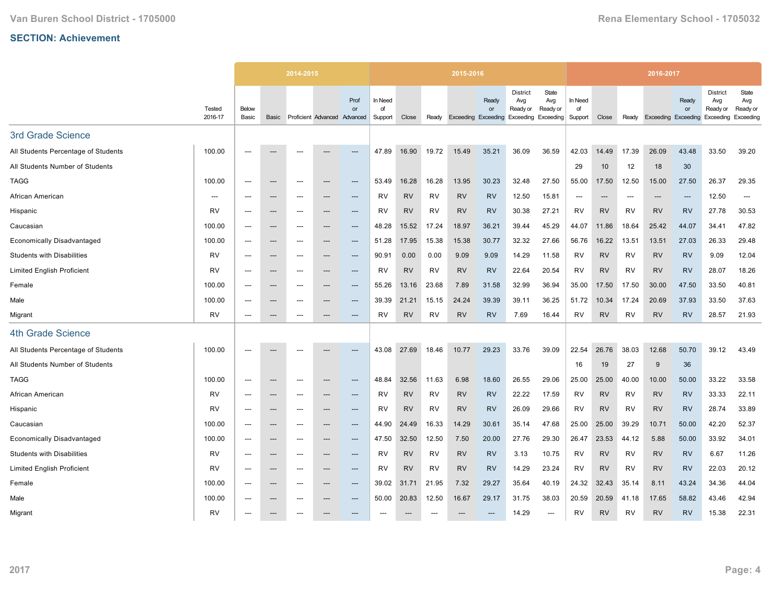|                                     |                   |                |                                   | 2014-2015                |                              |                        |                          |           |           | 2015-2016 |                                           |                                                                  |                          |                          |           |           | 2016-2017                  |                          |                                          |                                       |
|-------------------------------------|-------------------|----------------|-----------------------------------|--------------------------|------------------------------|------------------------|--------------------------|-----------|-----------|-----------|-------------------------------------------|------------------------------------------------------------------|--------------------------|--------------------------|-----------|-----------|----------------------------|--------------------------|------------------------------------------|---------------------------------------|
|                                     | Tested<br>2016-17 | Below<br>Basic | Basic                             |                          | Proficient Advanced Advanced | Prof<br>or             | In Need<br>of<br>Support | Close     | Ready     |           | Ready<br>or<br><b>Exceeding Exceeding</b> | <b>District</b><br>Avg<br>Ready or<br><b>Exceeding Exceeding</b> | State<br>Avg<br>Ready or | In Need<br>of<br>Support | Close     | Ready     | <b>Exceeding Exceeding</b> | Ready<br>or              | District<br>Avg<br>Ready or<br>Exceeding | State<br>Avg<br>Ready or<br>Exceeding |
| 3rd Grade Science                   |                   |                |                                   |                          |                              |                        |                          |           |           |           |                                           |                                                                  |                          |                          |           |           |                            |                          |                                          |                                       |
| All Students Percentage of Students | 100.00            | $---$          | ---                               | ---                      |                              | ---                    | 47.89                    | 16.90     | 19.72     | 15.49     | 35.21                                     | 36.09                                                            | 36.59                    | 42.03                    | 14.49     | 17.39     | 26.09                      | 43.48                    | 33.50                                    | 39.20                                 |
| All Students Number of Students     |                   |                |                                   |                          |                              |                        |                          |           |           |           |                                           |                                                                  |                          | 29                       | 10        | 12        | 18                         | 30                       |                                          |                                       |
| <b>TAGG</b>                         | 100.00            | $---$          | $\hspace{0.05cm} \dashrightarrow$ | $---$                    | --                           | ---                    | 53.49                    | 16.28     | 16.28     | 13.95     | 30.23                                     | 32.48                                                            | 27.50                    | 55.00                    | 17.50     | 12.50     | 15.00                      | 27.50                    | 26.37                                    | 29.35                                 |
| African American                    | ---               | $---$          | $---$                             | $---$                    | ---                          | $---$                  | RV                       | <b>RV</b> | <b>RV</b> | <b>RV</b> | <b>RV</b>                                 | 12.50                                                            | 15.81                    | $---$                    | $---$     | ---       | $---$                      | $\overline{\phantom{a}}$ | 12.50                                    | $\hspace{0.05cm} \ldots$              |
| Hispanic                            | <b>RV</b>         | ---            | ---                               | ---                      | ---                          | ---                    | <b>RV</b>                | <b>RV</b> | <b>RV</b> | <b>RV</b> | <b>RV</b>                                 | 30.38                                                            | 27.21                    | <b>RV</b>                | <b>RV</b> | <b>RV</b> | <b>RV</b>                  | <b>RV</b>                | 27.78                                    | 30.53                                 |
| Caucasian                           | 100.00            | $---$          | $\hspace{0.05cm} \ldots$          | $---$                    | ---                          | $\qquad \qquad \cdots$ | 48.28                    | 15.52     | 17.24     | 18.97     | 36.21                                     | 39.44                                                            | 45.29                    | 44.07                    | 11.86     | 18.64     | 25.42                      | 44.07                    | 34.41                                    | 47.82                                 |
| <b>Economically Disadvantaged</b>   | 100.00            | $---$          | $\hspace{0.05cm} \ldots$          | $---$                    | ---                          | $---$                  | 51.28                    | 17.95     | 15.38     | 15.38     | 30.77                                     | 32.32                                                            | 27.66                    | 56.76                    | 16.22     | 13.51     | 13.51                      | 27.03                    | 26.33                                    | 29.48                                 |
| <b>Students with Disabilities</b>   | <b>RV</b>         | ---            | ---                               | ---                      | ---                          | ---                    | 90.91                    | 0.00      | 0.00      | 9.09      | 9.09                                      | 14.29                                                            | 11.58                    | <b>RV</b>                | <b>RV</b> | <b>RV</b> | <b>RV</b>                  | <b>RV</b>                | 9.09                                     | 12.04                                 |
| <b>Limited English Proficient</b>   | <b>RV</b>         | $---$          | $\hspace{0.05cm} \cdots$          | $---$                    | ---                          | $---$                  | RV                       | <b>RV</b> | <b>RV</b> | <b>RV</b> | <b>RV</b>                                 | 22.64                                                            | 20.54                    | <b>RV</b>                | <b>RV</b> | <b>RV</b> | <b>RV</b>                  | <b>RV</b>                | 28.07                                    | 18.26                                 |
| Female                              | 100.00            | $\overline{a}$ | ---                               | $---$                    | ---                          | ---                    | 55.26                    | 13.16     | 23.68     | 7.89      | 31.58                                     | 32.99                                                            | 36.94                    | 35.00                    | 17.50     | 17.50     | 30.00                      | 47.50                    | 33.50                                    | 40.81                                 |
| Male                                | 100.00            | $---$          | $\hspace{0.05cm} \cdots$          | ---                      | ---                          | ---                    | 39.39                    | 21.21     | 15.15     | 24.24     | 39.39                                     | 39.11                                                            | 36.25                    | 51.72                    | 10.34     | 17.24     | 20.69                      | 37.93                    | 33.50                                    | 37.63                                 |
| Migrant                             | <b>RV</b>         | $---$          | $---$                             | $---$                    | ---                          | $---$                  | <b>RV</b>                | <b>RV</b> | <b>RV</b> | <b>RV</b> | <b>RV</b>                                 | 7.69                                                             | 16.44                    | <b>RV</b>                | <b>RV</b> | <b>RV</b> | <b>RV</b>                  | <b>RV</b>                | 28.57                                    | 21.93                                 |
| 4th Grade Science                   |                   |                |                                   |                          |                              |                        |                          |           |           |           |                                           |                                                                  |                          |                          |           |           |                            |                          |                                          |                                       |
| All Students Percentage of Students | 100.00            |                |                                   |                          |                              |                        | 43.08                    | 27.69     | 18.46     | 10.77     | 29.23                                     | 33.76                                                            | 39.09                    | 22.54                    | 26.76     | 38.03     | 12.68                      | 50.70                    | 39.12                                    | 43.49                                 |
| All Students Number of Students     |                   |                |                                   |                          |                              |                        |                          |           |           |           |                                           |                                                                  |                          | 16                       | 19        | 27        | 9                          | 36                       |                                          |                                       |
| <b>TAGG</b>                         | 100.00            | ---            | $\hspace{0.05cm} \ldots$          | $\overline{\phantom{a}}$ | ---                          | ---                    | 48.84                    | 32.56     | 11.63     | 6.98      | 18.60                                     | 26.55                                                            | 29.06                    | 25.00                    | 25.00     | 40.00     | 10.00                      | 50.00                    | 33.22                                    | 33.58                                 |
| African American                    | RV                | ---            | ---                               | ---                      |                              | ---                    | RV                       | <b>RV</b> | RV        | <b>RV</b> | <b>RV</b>                                 | 22.22                                                            | 17.59                    | RV                       | <b>RV</b> | RV        | <b>RV</b>                  | <b>RV</b>                | 33.33                                    | 22.11                                 |
| Hispanic                            | <b>RV</b>         | $---$          | $---$                             | $---$                    | ---                          | $---$                  | <b>RV</b>                | <b>RV</b> | <b>RV</b> | <b>RV</b> | RV                                        | 26.09                                                            | 29.66                    | <b>RV</b>                | <b>RV</b> | <b>RV</b> | <b>RV</b>                  | <b>RV</b>                | 28.74                                    | 33.89                                 |
| Caucasian                           | 100.00            | $---$          | $\hspace{0.05cm} \dashrightarrow$ | $---$                    | ---                          | ---                    | 44.90                    | 24.49     | 16.33     | 14.29     | 30.61                                     | 35.14                                                            | 47.68                    | 25.00                    | 25.00     | 39.29     | 10.71                      | 50.00                    | 42.20                                    | 52.37                                 |
| <b>Economically Disadvantaged</b>   | 100.00            | $---$          | $\hspace{0.05cm} \ldots$          | $---$                    | ---                          | ---                    | 47.50                    | 32.50     | 12.50     | 7.50      | 20.00                                     | 27.76                                                            | 29.30                    | 26.47                    | 23.53     | 44.12     | 5.88                       | 50.00                    | 33.92                                    | 34.01                                 |
| <b>Students with Disabilities</b>   | <b>RV</b>         | $---$          | $---$                             | $---$                    | ---                          | $---$                  | RV                       | <b>RV</b> | <b>RV</b> | <b>RV</b> | <b>RV</b>                                 | 3.13                                                             | 10.75                    | <b>RV</b>                | <b>RV</b> | RV        | <b>RV</b>                  | <b>RV</b>                | 6.67                                     | 11.26                                 |
| <b>Limited English Proficient</b>   | RV                |                | $\hspace{0.05cm} \cdots$          | ---                      | ---                          | ---                    | RV                       | <b>RV</b> | RV        | <b>RV</b> | <b>RV</b>                                 | 14.29                                                            | 23.24                    | RV                       | <b>RV</b> | RV        | <b>RV</b>                  | <b>RV</b>                | 22.03                                    | 20.12                                 |
| Female                              | 100.00            | $---$          | $\hspace{0.05cm} \ldots$          | $---$                    | $---$                        | $---$                  | 39.02                    | 31.71     | 21.95     | 7.32      | 29.27                                     | 35.64                                                            | 40.19                    | 24.32                    | 32.43     | 35.14     | 8.11                       | 43.24                    | 34.36                                    | 44.04                                 |
| Male                                | 100.00            | $---$          | $\hspace{0.05cm} \ldots$          | $---$                    | ---                          | $---$                  | 50.00                    | 20.83     | 12.50     | 16.67     | 29.17                                     | 31.75                                                            | 38.03                    | 20.59                    | 20.59     | 41.18     | 17.65                      | 58.82                    | 43.46                                    | 42.94                                 |
| Migrant                             | <b>RV</b>         |                | ---                               |                          |                              |                        |                          |           |           |           |                                           | 14.29                                                            | $---$                    | <b>RV</b>                | <b>RV</b> | <b>RV</b> | <b>RV</b>                  | <b>RV</b>                | 15.38                                    | 22.31                                 |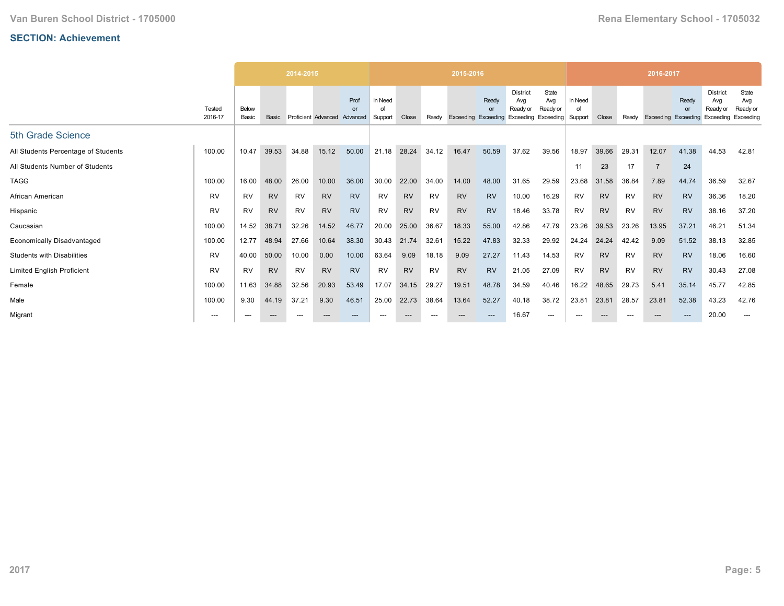|                                     |                   |                |           | 2014-2015 |                              |            |                          |           |           | 2015-2016                  |                                |                                                           |                          |                         |           |           | 2016-2017      |                          |                                                 |                                       |
|-------------------------------------|-------------------|----------------|-----------|-----------|------------------------------|------------|--------------------------|-----------|-----------|----------------------------|--------------------------------|-----------------------------------------------------------|--------------------------|-------------------------|-----------|-----------|----------------|--------------------------|-------------------------------------------------|---------------------------------------|
|                                     | Tested<br>2016-17 | Below<br>Basic | Basic     |           | Proficient Advanced Advanced | Prof<br>or | In Need<br>Ωt<br>Support | Close     | Ready     | <b>Exceeding Exceeding</b> | Ready<br>$\alpha$ <sup>r</sup> | <b>District</b><br>Avg<br>Ready or<br>Exceeding Exceeding | State<br>Avg<br>Ready or | In Need<br>d<br>Support | Close     | Ready     | Exceeding      | Ready<br>or<br>Exceeding | <b>District</b><br>Avg<br>Ready or<br>Exceeding | State<br>Avg<br>Ready or<br>Exceeding |
| 5th Grade Science                   |                   |                |           |           |                              |            |                          |           |           |                            |                                |                                                           |                          |                         |           |           |                |                          |                                                 |                                       |
| All Students Percentage of Students | 100.00            | 10.47          | 39.53     | 34.88     | 15.12                        | 50.00      | 21.18                    | 28.24     | 34.12     | 16.47                      | 50.59                          | 37.62                                                     | 39.56                    | 18.97                   | 39.66     | 29.31     | 12.07          | 41.38                    | 44.53                                           | 42.81                                 |
| All Students Number of Students     |                   |                |           |           |                              |            |                          |           |           |                            |                                |                                                           |                          | 11                      | 23        | 17        | $\overline{7}$ | 24                       |                                                 |                                       |
| <b>TAGG</b>                         | 100.00            | 16.00          | 48.00     | 26.00     | 10.00                        | 36.00      | 30.00                    | 22.00     | 34.00     | 14.00                      | 48.00                          | 31.65                                                     | 29.59                    | 23.68                   | 31.58     | 36.84     | 7.89           | 44.74                    | 36.59                                           | 32.67                                 |
| African American                    | <b>RV</b>         | <b>RV</b>      | <b>RV</b> | RV        | <b>RV</b>                    | <b>RV</b>  | <b>RV</b>                | <b>RV</b> | RV        | <b>RV</b>                  | <b>RV</b>                      | 10.00                                                     | 16.29                    | RV                      | <b>RV</b> | RV        | <b>RV</b>      | <b>RV</b>                | 36.36                                           | 18.20                                 |
| Hispanic                            | <b>RV</b>         | <b>RV</b>      | <b>RV</b> | <b>RV</b> | <b>RV</b>                    | <b>RV</b>  | <b>RV</b>                | <b>RV</b> | <b>RV</b> | <b>RV</b>                  | <b>RV</b>                      | 18.46                                                     | 33.78                    | <b>RV</b>               | <b>RV</b> | <b>RV</b> | <b>RV</b>      | <b>RV</b>                | 38.16                                           | 37.20                                 |
| Caucasian                           | 100.00            | 14.52          | 38.71     | 32.26     | 14.52                        | 46.77      | 20.00                    | 25.00     | 36.67     | 18.33                      | 55.00                          | 42.86                                                     | 47.79                    | 23.26                   | 39.53     | 23.26     | 13.95          | 37.21                    | 46.21                                           | 51.34                                 |
| <b>Economically Disadvantaged</b>   | 100.00            | 12.77          | 48.94     | 27.66     | 10.64                        | 38.30      | 30.43                    | 21.74     | 32.61     | 15.22                      | 47.83                          | 32.33                                                     | 29.92                    | 24.24                   | 24.24     | 42.42     | 9.09           | 51.52                    | 38.13                                           | 32.85                                 |
| <b>Students with Disabilities</b>   | <b>RV</b>         | 40.00          | 50.00     | 10.00     | 0.00                         | 10.00      | 63.64                    | 9.09      | 18.18     | 9.09                       | 27.27                          | 11.43                                                     | 14.53                    | <b>RV</b>               | <b>RV</b> | <b>RV</b> | <b>RV</b>      | <b>RV</b>                | 18.06                                           | 16.60                                 |
| <b>Limited English Proficient</b>   | <b>RV</b>         | <b>RV</b>      | <b>RV</b> | RV        | <b>RV</b>                    | <b>RV</b>  | <b>RV</b>                | <b>RV</b> | RV        | <b>RV</b>                  | <b>RV</b>                      | 21.05                                                     | 27.09                    | RV                      | <b>RV</b> | RV        | <b>RV</b>      | <b>RV</b>                | 30.43                                           | 27.08                                 |
| Female                              | 100.00            | 11.63          | 34.88     | 32.56     | 20.93                        | 53.49      | 17.07                    | 34.15     | 29.27     | 19.51                      | 48.78                          | 34.59                                                     | 40.46                    | 16.22                   | 48.65     | 29.73     | 5.41           | 35.14                    | 45.77                                           | 42.85                                 |
| Male                                | 100.00            | 9.30           | 44.19     | 37.21     | 9.30                         | 46.51      | 25.00                    | 22.73     | 38.64     | 13.64                      | 52.27                          | 40.18                                                     | 38.72                    | 23.81                   | 23.81     | 28.57     | 23.81          | 52.38                    | 43.23                                           | 42.76                                 |
| Migrant                             | ---               | ---            | $---$     |           | $---$                        | $---$      | ---                      | ---       |           |                            |                                | 16.67                                                     | ---                      | $---$                   | $---$     | $---$     | $---$          | $---$                    | 20.00                                           | ---                                   |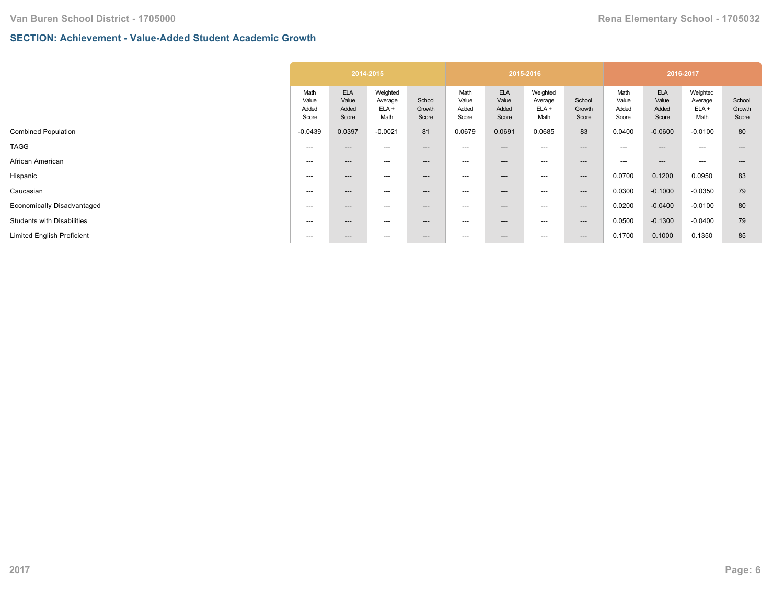## **SECTION: Achievement - Value-Added Student Academic Growth**

|                                   |                                 | 2014-2015                             |                                        |                           |                                 |                                       | 2015-2016                              |                           |                                 | 2016-2017                             |                                        |                           |
|-----------------------------------|---------------------------------|---------------------------------------|----------------------------------------|---------------------------|---------------------------------|---------------------------------------|----------------------------------------|---------------------------|---------------------------------|---------------------------------------|----------------------------------------|---------------------------|
|                                   | Math<br>Value<br>Added<br>Score | <b>ELA</b><br>Value<br>Added<br>Score | Weighted<br>Average<br>$ELA +$<br>Math | School<br>Growth<br>Score | Math<br>Value<br>Added<br>Score | <b>ELA</b><br>Value<br>Added<br>Score | Weighted<br>Average<br>$ELA +$<br>Math | School<br>Growth<br>Score | Math<br>Value<br>Added<br>Score | <b>ELA</b><br>Value<br>Added<br>Score | Weighted<br>Average<br>$ELA +$<br>Math | School<br>Growth<br>Score |
| <b>Combined Population</b>        | $-0.0439$                       | 0.0397                                | $-0.0021$                              | 81                        | 0.0679                          | 0.0691                                | 0.0685                                 | 83                        | 0.0400                          | $-0.0600$                             | $-0.0100$                              | 80                        |
| <b>TAGG</b>                       | ---                             | $---$                                 | ---                                    | $---$                     | ---                             | ---                                   | ---                                    | $---$                     | $---$                           | $---$                                 | $---$                                  | ---                       |
| African American                  | ---                             | $---$                                 | ---                                    | $---$                     | $---$                           | ---                                   | ---                                    | $---$                     | $---$                           | $---$                                 | $---$                                  |                           |
| Hispanic                          | $---$                           | $---$                                 | ---                                    | $---$                     | $---$                           | ---                                   | ---                                    | $---$                     | 0.0700                          | 0.1200                                | 0.0950                                 | 83                        |
| Caucasian                         | ---                             | $---$                                 | ---                                    | ---                       | $---$                           | ---                                   | ---                                    | $---$                     | 0.0300                          | $-0.1000$                             | $-0.0350$                              | 79                        |
| Economically Disadvantaged        | ---                             | $---$                                 | ---                                    | $---$                     | ---                             | ---                                   | ---                                    | $---$                     | 0.0200                          | $-0.0400$                             | $-0.0100$                              | 80                        |
| <b>Students with Disabilities</b> | ---                             | $---$                                 | ---                                    | $---$                     | ---                             | ---                                   | ---                                    | $---$                     | 0.0500                          | $-0.1300$                             | $-0.0400$                              | 79                        |
| <b>Limited English Proficient</b> | ---                             | $---$                                 | ---                                    | $---$                     | $\hspace{0.05cm} \ldots$        | ---                                   | ---                                    | $---$                     | 0.1700                          | 0.1000                                | 0.1350                                 | 85                        |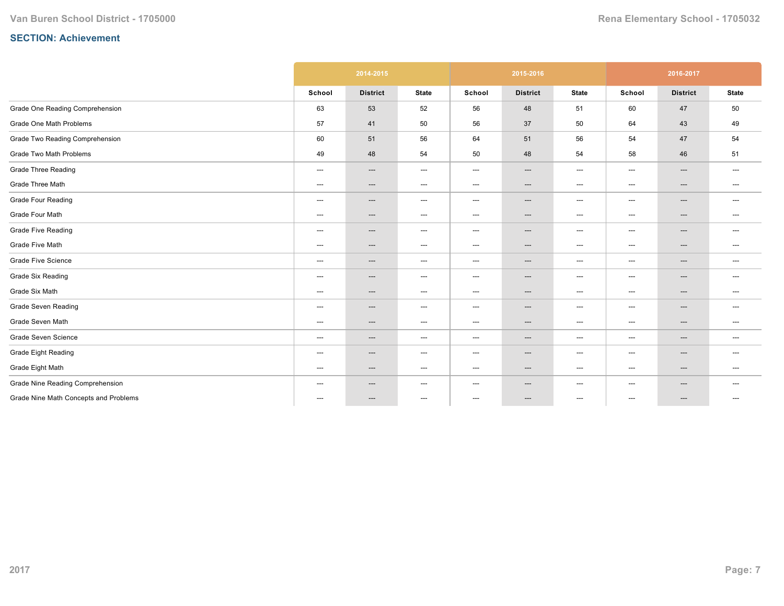|                                       |                                          | 2014-2015                |                                   |                                   | 2015-2016              |                                   |                          | 2016-2017       |                          |
|---------------------------------------|------------------------------------------|--------------------------|-----------------------------------|-----------------------------------|------------------------|-----------------------------------|--------------------------|-----------------|--------------------------|
|                                       | School                                   | <b>District</b>          | <b>State</b>                      | School                            | <b>District</b>        | <b>State</b>                      | School                   | <b>District</b> | <b>State</b>             |
| Grade One Reading Comprehension       | 63                                       | 53                       | 52                                | 56                                | 48                     | 51                                | 60                       | 47              | 50                       |
| Grade One Math Problems               | 57                                       | 41                       | 50                                | 56                                | 37                     | 50                                | 64                       | 43              | 49                       |
| Grade Two Reading Comprehension       | 60                                       | 51                       | 56                                | 64                                | 51                     | 56                                | 54                       | 47              | 54                       |
| Grade Two Math Problems               | 49                                       | 48                       | 54                                | 50                                | 48                     | 54                                | 58                       | 46              | 51                       |
| <b>Grade Three Reading</b>            | $\hspace{0.05cm} \ldots \hspace{0.05cm}$ | $\qquad \qquad \cdots$   | $\hspace{0.05cm} \ldots$          | $\hspace{0.05cm} \ldots$          | ---                    | $\hspace{0.05cm} \ldots$          | $\hspace{0.05cm} \ldots$ | ---             | $\hspace{0.05cm} \ldots$ |
| Grade Three Math                      | ---                                      | ---                      | $\hspace{0.05cm} \dashrightarrow$ | $---$                             | $\qquad \qquad \cdots$ | $\hspace{0.05cm} \dashrightarrow$ | ---                      | ---             | ---                      |
| <b>Grade Four Reading</b>             | $\hspace{0.05cm} \ldots$                 | $\hspace{0.05cm} \ldots$ | $\hspace{0.05cm} \dashrightarrow$ | $\hspace{0.05cm} \dashrightarrow$ | ---                    | $\hspace{0.05cm} \ldots$          | $\hspace{0.05cm} \ldots$ | ---             | $---$                    |
| Grade Four Math                       | ---                                      | ---                      | $\hspace{0.05cm} \dashrightarrow$ | $---$                             | ---                    | $\hspace{0.05cm} \dashrightarrow$ | $---$                    | ---             | $\hspace{0.05cm} \ldots$ |
| <b>Grade Five Reading</b>             | ---                                      | ---                      | $\hspace{0.05cm} \dashrightarrow$ | $---$                             | ---                    | $\hspace{0.05cm} \dashrightarrow$ | $---$                    | ---             | ---                      |
| Grade Five Math                       | ---                                      | $---$                    | $\hspace{0.05cm} \ldots$          | $---$                             | ---                    | $\hspace{0.05cm} \dashrightarrow$ | $---$                    | ---             | $---$                    |
| <b>Grade Five Science</b>             | $\hspace{0.05cm} \ldots \hspace{0.05cm}$ | $\qquad \qquad \cdots$   | $\hspace{0.05cm} \ldots$          | $---$                             | ---                    | $\hspace{0.05cm} \ldots$          | $\qquad \qquad \cdots$   | ---             | $\hspace{0.05cm} \ldots$ |
| <b>Grade Six Reading</b>              | ---                                      | $---$                    | $\hspace{0.05cm} \ldots$          | $---$                             | ---                    | $\hspace{0.05cm} \ldots$          | $\qquad \qquad \cdots$   | ---             | $---$                    |
| Grade Six Math                        | ---                                      | $\hspace{0.05cm} \ldots$ | $\hspace{0.05cm} \dashrightarrow$ | $---$                             | ---                    | $\hspace{0.05cm} \ldots$          | $---$                    | ---             | $\hspace{0.05cm} \ldots$ |
| <b>Grade Seven Reading</b>            | ---                                      | $---$                    | $\hspace{0.05cm} \ldots$          | $---$                             | ---                    | $\hspace{0.05cm} \ldots$          | $\qquad \qquad \cdots$   | ---             | $---$                    |
| Grade Seven Math                      | ---                                      | $---$                    | $\hspace{0.05cm} \dashrightarrow$ | $---$                             | ---                    | $\hspace{0.05cm} \dashrightarrow$ | ---                      | ---             | $---$                    |
| Grade Seven Science                   | ---                                      | $\qquad \qquad \cdots$   | $\hspace{0.05cm} \ldots$          | $---$                             | ---                    | $\hspace{0.05cm} \ldots$          | $\hspace{0.05cm} \ldots$ | ---             | $---$                    |
| <b>Grade Eight Reading</b>            | ---                                      | $---$                    | $---$                             | $---$                             | ---                    | $\hspace{0.05cm} \ldots$          | $---$                    | ---             | $---$                    |
| Grade Eight Math                      | ---                                      | $---$                    | $\hspace{0.05cm} \dashrightarrow$ | $---$                             | ---                    | $\hspace{0.05cm} \dashrightarrow$ | $\qquad \qquad \cdots$   | ---             | $---$                    |
| Grade Nine Reading Comprehension      | ---                                      | $---$                    | $\hspace{0.05cm} \ldots$          | $---$                             | ---                    | $\hspace{0.05cm} \ldots$          | $---$                    | ---             | $\hspace{0.05cm} \ldots$ |
| Grade Nine Math Concepts and Problems | $\hspace{0.05cm}---\hspace{0.05cm}$      | $\hspace{0.05cm} \ldots$ | $\hspace{0.05cm} \ldots$          | ---                               | ---                    | $\hspace{0.05cm} \ldots$          | $\hspace{0.05cm} \ldots$ | ---             | $---$                    |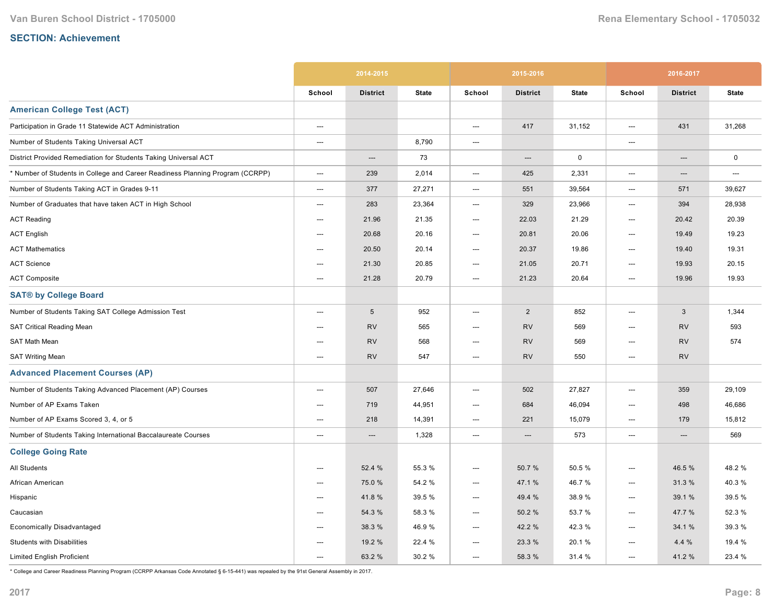|                                                                               |                          | 2014-2015       |              |                          | 2015-2016       |              |        | 2016-2017       |              |
|-------------------------------------------------------------------------------|--------------------------|-----------------|--------------|--------------------------|-----------------|--------------|--------|-----------------|--------------|
|                                                                               | School                   | <b>District</b> | <b>State</b> | School                   | <b>District</b> | <b>State</b> | School | <b>District</b> | <b>State</b> |
| <b>American College Test (ACT)</b>                                            |                          |                 |              |                          |                 |              |        |                 |              |
| Participation in Grade 11 Statewide ACT Administration                        | $\hspace{0.05cm} \cdots$ |                 |              | ---                      | 417             | 31,152       | ---    | 431             | 31,268       |
| Number of Students Taking Universal ACT                                       | $---$                    |                 | 8,790        | $\overline{\phantom{a}}$ |                 |              | ---    |                 |              |
| District Provided Remediation for Students Taking Universal ACT               |                          | ---             | 73           |                          | ---             | $\mathbf 0$  |        | ---             | $\mathsf 0$  |
| * Number of Students in College and Career Readiness Planning Program (CCRPP) | ---                      | 239             | 2,014        | ---                      | 425             | 2,331        | ---    | ---             | ---          |
| Number of Students Taking ACT in Grades 9-11                                  | ---                      | 377             | 27,271       | $\hspace{0.05cm} \ldots$ | 551             | 39,564       | ---    | 571             | 39,627       |
| Number of Graduates that have taken ACT in High School                        | ---                      | 283             | 23,364       | $---$                    | 329             | 23,966       | ---    | 394             | 28,938       |
| <b>ACT Reading</b>                                                            | $---$                    | 21.96           | 21.35        | ---                      | 22.03           | 21.29        | ---    | 20.42           | 20.39        |
| <b>ACT English</b>                                                            | $\hspace{0.05cm} \ldots$ | 20.68           | 20.16        | ---                      | 20.81           | 20.06        | ---    | 19.49           | 19.23        |
| <b>ACT Mathematics</b>                                                        | ---                      | 20.50           | 20.14        | ---                      | 20.37           | 19.86        | ---    | 19.40           | 19.31        |
| <b>ACT Science</b>                                                            | ---                      | 21.30           | 20.85        | $\hspace{0.05cm} \ldots$ | 21.05           | 20.71        | ---    | 19.93           | 20.15        |
| <b>ACT Composite</b>                                                          | ---                      | 21.28           | 20.79        | ---                      | 21.23           | 20.64        | ---    | 19.96           | 19.93        |
| <b>SAT® by College Board</b>                                                  |                          |                 |              |                          |                 |              |        |                 |              |
| Number of Students Taking SAT College Admission Test                          | $---$                    | $\sqrt{5}$      | 952          | ---                      | 2               | 852          | $---$  | 3               | 1,344        |
| SAT Critical Reading Mean                                                     | ---                      | <b>RV</b>       | 565          | ---                      | <b>RV</b>       | 569          | ---    | <b>RV</b>       | 593          |
| SAT Math Mean                                                                 | ---                      | <b>RV</b>       | 568          | ---                      | <b>RV</b>       | 569          | ---    | <b>RV</b>       | 574          |
| <b>SAT Writing Mean</b>                                                       | $\overline{\phantom{a}}$ | <b>RV</b>       | 547          | $---$                    | <b>RV</b>       | 550          | ---    | <b>RV</b>       |              |
| <b>Advanced Placement Courses (AP)</b>                                        |                          |                 |              |                          |                 |              |        |                 |              |
| Number of Students Taking Advanced Placement (AP) Courses                     | $---$                    | 507             | 27,646       | $\overline{\phantom{a}}$ | 502             | 27,827       | $---$  | 359             | 29,109       |
| Number of AP Exams Taken                                                      | ---                      | 719             | 44,951       | ---                      | 684             | 46,094       | ---    | 498             | 46,686       |
| Number of AP Exams Scored 3, 4, or 5                                          | $---$                    | 218             | 14,391       | ---                      | 221             | 15,079       | $---$  | 179             | 15,812       |
| Number of Students Taking International Baccalaureate Courses                 | ---                      | $---$           | 1,328        | $\hspace{0.05cm} \ldots$ | $---$           | 573          | ---    | $---$           | 569          |
| <b>College Going Rate</b>                                                     |                          |                 |              |                          |                 |              |        |                 |              |
| <b>All Students</b>                                                           | ---                      | 52.4 %          | 55.3 %       | ---                      | 50.7%           | 50.5%        | ---    | 46.5 %          | 48.2%        |
| African American                                                              | ---                      | 75.0%           | 54.2 %       | ---                      | 47.1 %          | 46.7%        | ---    | 31.3%           | 40.3%        |
| Hispanic                                                                      | ---                      | 41.8%           | 39.5 %       | ---                      | 49.4 %          | 38.9%        | ---    | 39.1 %          | 39.5 %       |
| Caucasian                                                                     | $---$                    | 54.3 %          | 58.3 %       | ---                      | 50.2%           | 53.7 %       | ---    | 47.7 %          | 52.3 %       |
| <b>Economically Disadvantaged</b>                                             | $---$                    | 38.3 %          | 46.9%        | ---                      | 42.2 %          | 42.3%        | ---    | 34.1 %          | 39.3 %       |
| <b>Students with Disabilities</b>                                             | $---$                    | 19.2 %          | 22.4 %       | ---                      | 23.3 %          | 20.1%        | ---    | 4.4 %           | 19.4 %       |
| <b>Limited English Proficient</b>                                             | $---$                    | 63.2 %          | 30.2%        | $---$                    | 58.3 %          | 31.4 %       | $---$  | 41.2%           | 23.4 %       |

\* College and Career Readiness Planning Program (CCRPP Arkansas Code Annotated § 615441) was repealed by the 91st General Assembly in 2017.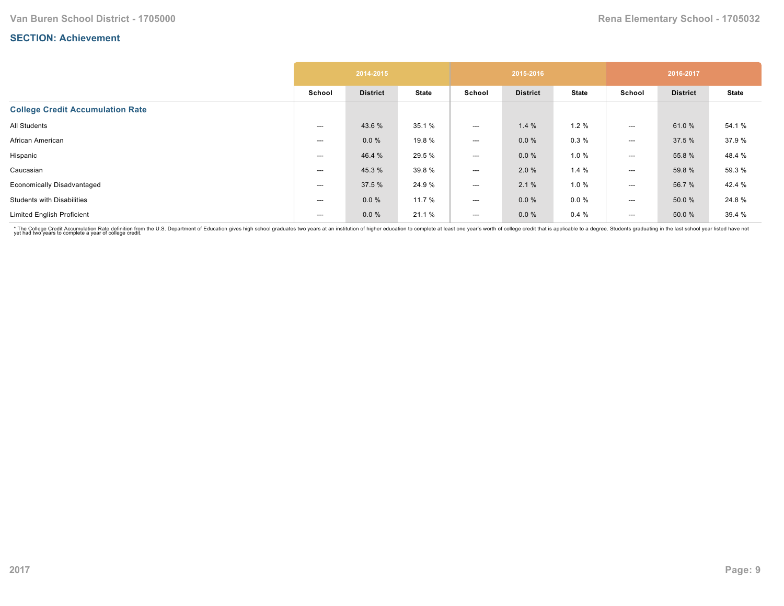|                                         |        | 2014-2015       |              |                          | 2015-2016       |              |                          | 2016-2017       |              |
|-----------------------------------------|--------|-----------------|--------------|--------------------------|-----------------|--------------|--------------------------|-----------------|--------------|
|                                         | School | <b>District</b> | <b>State</b> | School                   | <b>District</b> | <b>State</b> | School                   | <b>District</b> | <b>State</b> |
| <b>College Credit Accumulation Rate</b> |        |                 |              |                          |                 |              |                          |                 |              |
| All Students                            | ---    | 43.6 %          | 35.1 %       | $---$                    | 1.4%            | 1.2%         | $---$                    | 61.0%           | 54.1 %       |
| African American                        | ---    | $0.0 \%$        | 19.8 %       | $---$                    | $0.0 \%$        | 0.3%         | $\hspace{0.05cm} \ldots$ | 37.5 %          | 37.9%        |
| Hispanic                                | ---    | 46.4 %          | 29.5 %       | $\hspace{0.05cm} \ldots$ | $0.0 \%$        | 1.0%         | $\hspace{0.05cm} \ldots$ | 55.8%           | 48.4 %       |
| Caucasian                               | ---    | 45.3 %          | 39.8%        | $\hspace{0.05cm} \ldots$ | 2.0%            | 1.4%         | $\hspace{0.05cm} \ldots$ | 59.8 %          | 59.3 %       |
| <b>Economically Disadvantaged</b>       | ---    | 37.5 %          | 24.9%        | $---$                    | 2.1%            | 1.0 %        | $---$                    | 56.7%           | 42.4 %       |
| <b>Students with Disabilities</b>       | ---    | 0.0%            | 11.7 %       | $\hspace{0.05cm} \ldots$ | $0.0 \%$        | $0.0 \%$     | ---                      | 50.0 %          | 24.8%        |
| <b>Limited English Proficient</b>       | ---    | 0.0%            | 21.1 %       | $---$                    | $0.0 \%$        | 0.4%         | $---$                    | 50.0 %          | 39.4 %       |

\* The College Credit Accumulation Rate definition from the U.S. Department of Education gives high school graduates two years at an institution of higher education to complete at least one year's worth of college credit th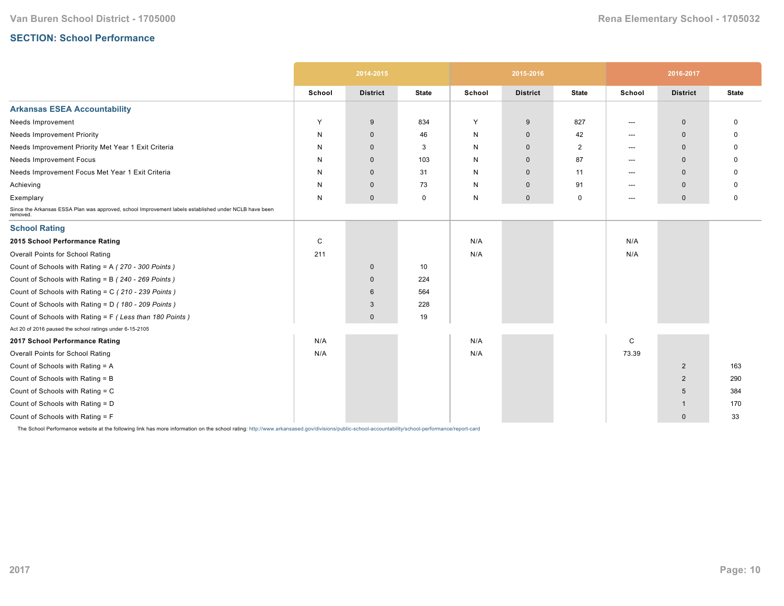# **SECTION: School Performance**

|                                                                                                                   |              | 2014-2015       |              |        | 2015-2016       |                |             | 2016-2017       |              |
|-------------------------------------------------------------------------------------------------------------------|--------------|-----------------|--------------|--------|-----------------|----------------|-------------|-----------------|--------------|
|                                                                                                                   | School       | <b>District</b> | <b>State</b> | School | <b>District</b> | <b>State</b>   | School      | <b>District</b> | <b>State</b> |
| <b>Arkansas ESEA Accountability</b>                                                                               |              |                 |              |        |                 |                |             |                 |              |
| Needs Improvement                                                                                                 | Y            | 9               | 834          | Y      | 9               | 827            | ---         | $\mathbf 0$     | 0            |
| <b>Needs Improvement Priority</b>                                                                                 | N            | $\mathbf 0$     | 46           | N      | $\mathbf 0$     | 42             | ---         | $\Omega$        | O            |
| Needs Improvement Priority Met Year 1 Exit Criteria                                                               | N            | $\Omega$        | 3            | N      | $\mathbf{0}$    | $\overline{2}$ | $---$       | $\Omega$        | <sup>0</sup> |
| Needs Improvement Focus                                                                                           | N            | $\mathbf 0$     | 103          | N      | $\mathbf 0$     | 87             | ---         | $\Omega$        | O            |
| Needs Improvement Focus Met Year 1 Exit Criteria                                                                  | N            | $\mathbf 0$     | 31           | N      | $\mathbf{0}$    | 11             | ---         | $\mathbf 0$     |              |
| Achieving                                                                                                         | N            | $\mathbf 0$     | 73           | N      | $\mathbf 0$     | 91             | ---         | $\mathbf 0$     | O            |
| Exemplary                                                                                                         | N            | $\mathbf 0$     | 0            | N      | $\mathbf 0$     | 0              | $---$       | $\mathbf 0$     | 0            |
| Since the Arkansas ESSA Plan was approved, school Improvement labels established under NCLB have been<br>removed. |              |                 |              |        |                 |                |             |                 |              |
| <b>School Rating</b>                                                                                              |              |                 |              |        |                 |                |             |                 |              |
| 2015 School Performance Rating                                                                                    | $\mathsf{C}$ |                 |              | N/A    |                 |                | N/A         |                 |              |
| Overall Points for School Rating                                                                                  | 211          |                 |              | N/A    |                 |                | N/A         |                 |              |
| Count of Schools with Rating = A (270 - 300 Points)                                                               |              | $\mathbf 0$     | 10           |        |                 |                |             |                 |              |
| Count of Schools with Rating = B (240 - 269 Points)                                                               |              | $\mathbf{0}$    | 224          |        |                 |                |             |                 |              |
| Count of Schools with Rating = C (210 - 239 Points)                                                               |              | 6               | 564          |        |                 |                |             |                 |              |
| Count of Schools with Rating = D (180 - 209 Points)                                                               |              | 3               | 228          |        |                 |                |             |                 |              |
| Count of Schools with Rating = F (Less than 180 Points)                                                           |              | $\mathbf{0}$    | 19           |        |                 |                |             |                 |              |
| Act 20 of 2016 paused the school ratings under 6-15-2105                                                          |              |                 |              |        |                 |                |             |                 |              |
| 2017 School Performance Rating                                                                                    | N/A          |                 |              | N/A    |                 |                | $\mathsf C$ |                 |              |
| Overall Points for School Rating                                                                                  | N/A          |                 |              | N/A    |                 |                | 73.39       |                 |              |
| Count of Schools with Rating = A                                                                                  |              |                 |              |        |                 |                |             | $\overline{2}$  | 163          |
| Count of Schools with Rating = B                                                                                  |              |                 |              |        |                 |                |             | $\overline{2}$  | 290          |
| Count of Schools with Rating = C                                                                                  |              |                 |              |        |                 |                |             | 5               | 384          |
| Count of Schools with Rating = D                                                                                  |              |                 |              |        |                 |                |             | -1              | 170          |
| Count of Schools with Rating = F                                                                                  |              |                 |              |        |                 |                |             | $\mathbf 0$     | 33           |

The School Performance website at the following link has more information on the school rating: http://www.arkansased.gov/divisions/public-school-accountability/school-performance/report-card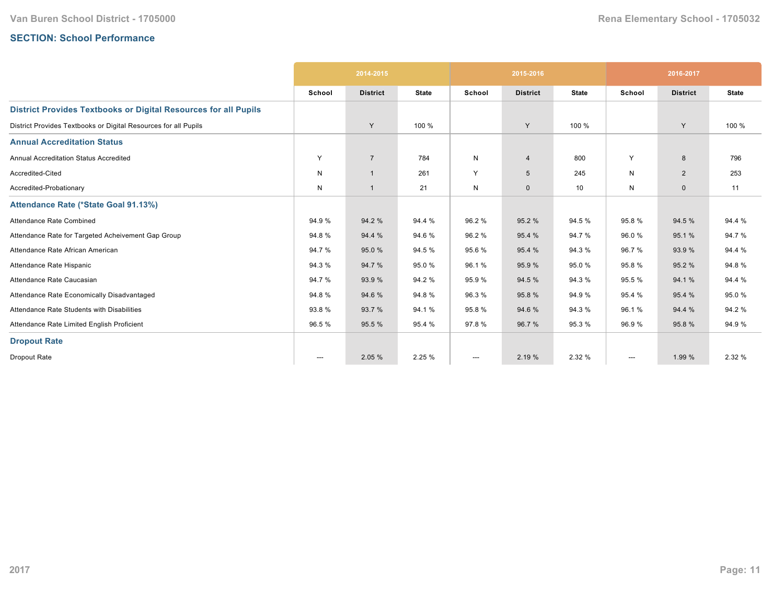# **SECTION: School Performance**

|                                                                        |                          | 2014-2015       |              |              | 2015-2016       |              |                        | 2016-2017       |              |
|------------------------------------------------------------------------|--------------------------|-----------------|--------------|--------------|-----------------|--------------|------------------------|-----------------|--------------|
|                                                                        | School                   | <b>District</b> | <b>State</b> | School       | <b>District</b> | <b>State</b> | School                 | <b>District</b> | <b>State</b> |
| <b>District Provides Textbooks or Digital Resources for all Pupils</b> |                          |                 |              |              |                 |              |                        |                 |              |
| District Provides Textbooks or Digital Resources for all Pupils        |                          | Y               | 100 %        |              | Y               | 100 %        |                        | Y               | 100 %        |
| <b>Annual Accreditation Status</b>                                     |                          |                 |              |              |                 |              |                        |                 |              |
| Annual Accreditation Status Accredited                                 | Y                        | $\overline{7}$  | 784          | $\mathsf{N}$ | $\overline{4}$  | 800          | Y                      | 8               | 796          |
| Accredited-Cited                                                       | N                        | $\overline{1}$  | 261          | Y            | $5\overline{5}$ | 245          | N                      | $\overline{2}$  | 253          |
| Accredited-Probationary                                                | N                        | $\overline{1}$  | 21           | N            | $\mathbf 0$     | 10           | N                      | $\mathbf{0}$    | 11           |
| Attendance Rate (*State Goal 91.13%)                                   |                          |                 |              |              |                 |              |                        |                 |              |
| Attendance Rate Combined                                               | 94.9%                    | 94.2 %          | 94.4 %       | 96.2%        | 95.2 %          | 94.5 %       | 95.8%                  | 94.5 %          | 94.4 %       |
| Attendance Rate for Targeted Acheivement Gap Group                     | 94.8%                    | 94.4 %          | 94.6%        | 96.2 %       | 95.4 %          | 94.7%        | 96.0%                  | 95.1%           | 94.7%        |
| Attendance Rate African American                                       | 94.7%                    | 95.0%           | 94.5%        | 95.6%        | 95.4 %          | 94.3 %       | 96.7%                  | 93.9%           | 94.4 %       |
| Attendance Rate Hispanic                                               | 94.3 %                   | 94.7%           | 95.0%        | 96.1%        | 95.9 %          | 95.0%        | 95.8%                  | 95.2 %          | 94.8%        |
| Attendance Rate Caucasian                                              | 94.7%                    | 93.9 %          | 94.2%        | 95.9%        | 94.5 %          | 94.3 %       | 95.5 %                 | 94.1 %          | 94.4 %       |
| Attendance Rate Economically Disadvantaged                             | 94.8%                    | 94.6%           | 94.8%        | 96.3%        | 95.8%           | 94.9%        | 95.4 %                 | 95.4 %          | 95.0%        |
| Attendance Rate Students with Disabilities                             | 93.8%                    | 93.7 %          | 94.1%        | 95.8%        | 94.6%           | 94.3 %       | 96.1%                  | 94.4 %          | 94.2 %       |
| Attendance Rate Limited English Proficient                             | 96.5%                    | 95.5 %          | 95.4 %       | 97.8%        | 96.7 %          | 95.3%        | 96.9%                  | 95.8%           | 94.9%        |
| <b>Dropout Rate</b>                                                    |                          |                 |              |              |                 |              |                        |                 |              |
| Dropout Rate                                                           | $\hspace{0.05cm} \ldots$ | 2.05 %          | 2.25 %       | ---          | 2.19 %          | 2.32 %       | $\qquad \qquad \cdots$ | 1.99 %          | 2.32 %       |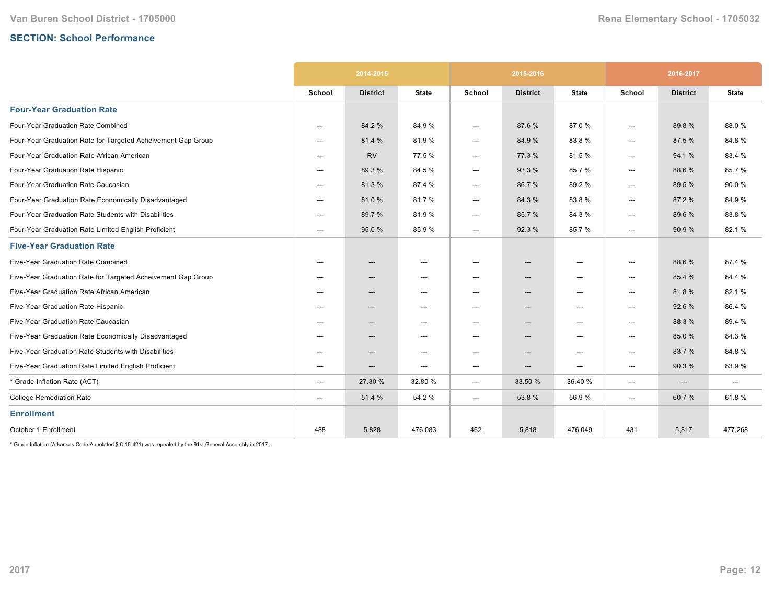# **SECTION: School Performance**

|                                                              |                          | 2014-2015       |                                   |                        | 2015-2016                |              | 2016-2017                |                          |              |
|--------------------------------------------------------------|--------------------------|-----------------|-----------------------------------|------------------------|--------------------------|--------------|--------------------------|--------------------------|--------------|
|                                                              | School                   | <b>District</b> | <b>State</b>                      | School                 | <b>District</b>          | <b>State</b> | School                   | <b>District</b>          | <b>State</b> |
| <b>Four-Year Graduation Rate</b>                             |                          |                 |                                   |                        |                          |              |                          |                          |              |
| Four-Year Graduation Rate Combined                           | $---$                    | 84.2 %          | 84.9%                             | ---                    | 87.6%                    | 87.0%        | ---                      | 89.8%                    | 88.0%        |
| Four-Year Graduation Rate for Targeted Acheivement Gap Group | $---$                    | 81.4 %          | 81.9%                             | $\qquad \qquad \cdots$ | 84.9%                    | 83.8%        | $---$                    | 87.5 %                   | 84.8%        |
| Four-Year Graduation Rate African American                   | $---$                    | <b>RV</b>       | 77.5 %                            | ---                    | 77.3 %                   | 81.5%        | ---                      | 94.1%                    | 83.4 %       |
| Four-Year Graduation Rate Hispanic                           | $---$                    | 89.3 %          | 84.5 %                            | ---                    | 93.3 %                   | 85.7%        | ---                      | 88.6%                    | 85.7%        |
| Four-Year Graduation Rate Caucasian                          | $---$                    | 81.3%           | 87.4 %                            | ---                    | 86.7%                    | 89.2%        | ---                      | 89.5 %                   | 90.0%        |
| Four-Year Graduation Rate Economically Disadvantaged         | ---                      | 81.0%           | 81.7%                             | ---                    | 84.3%                    | 83.8%        | $\qquad \qquad \cdots$   | 87.2 %                   | 84.9%        |
| Four-Year Graduation Rate Students with Disabilities         | ---                      | 89.7 %          | 81.9%                             | ---                    | 85.7 %                   | 84.3%        | ---                      | 89.6 %                   | 83.8%        |
| Four-Year Graduation Rate Limited English Proficient         | ---                      | 95.0%           | 85.9%                             | ---                    | 92.3%                    | 85.7%        | ---                      | 90.9%                    | 82.1%        |
| <b>Five-Year Graduation Rate</b>                             |                          |                 |                                   |                        |                          |              |                          |                          |              |
| Five-Year Graduation Rate Combined                           | ---                      | ---             | $\hspace{0.05cm} \ldots$          | ---                    | $\hspace{0.05cm} \ldots$ | ---          | $\hspace{0.05cm} \ldots$ | 88.6%                    | 87.4 %       |
| Five-Year Graduation Rate for Targeted Acheivement Gap Group | $---$                    | ---             | $\hspace{0.05cm} \ldots$          | ---                    | $---$                    | ---          | $\hspace{0.05cm} \ldots$ | 85.4 %                   | 84.4 %       |
| Five-Year Graduation Rate African American                   | $---$                    | ---             | $\hspace{0.05cm} \cdots$          | ---                    | ---                      | ---          | ---                      | 81.8%                    | 82.1%        |
| Five-Year Graduation Rate Hispanic                           | ---                      | ---             | $\hspace{0.05cm} \dashrightarrow$ | ---                    | $\hspace{0.05cm} \ldots$ | ---          | ---                      | 92.6%                    | 86.4 %       |
| Five-Year Graduation Rate Caucasian                          | ---                      | ---             | $\hspace{0.05cm} \ldots$          | ---                    | ---                      | ---          | $\hspace{0.05cm} \ldots$ | 88.3 %                   | 89.4 %       |
| Five-Year Graduation Rate Economically Disadvantaged         | $\hspace{0.05cm} \ldots$ | ---             | $\hspace{0.05cm} \ldots$          | ---                    | ---                      | ---          | $\hspace{0.05cm} \ldots$ | 85.0%                    | 84.3%        |
| Five-Year Graduation Rate Students with Disabilities         | $---$                    | ---             | $\hspace{0.05cm} \cdots$          | ---                    | ---                      | ---          | ---                      | 83.7%                    | 84.8%        |
| Five-Year Graduation Rate Limited English Proficient         | ---                      | ---             | $\hspace{0.05cm} \ldots$          | ---                    | ---                      | ---          | ---                      | 90.3%                    | 83.9%        |
| * Grade Inflation Rate (ACT)                                 | ---                      | 27.30 %         | 32.80 %                           | ---                    | 33.50 %                  | 36.40 %      | ---                      | $\hspace{0.05cm} \ldots$ | ---          |
| <b>College Remediation Rate</b>                              | ---                      | 51.4 %          | 54.2 %                            | ---                    | 53.8%                    | 56.9%        | $---$                    | 60.7%                    | 61.8%        |
| <b>Enrollment</b>                                            |                          |                 |                                   |                        |                          |              |                          |                          |              |
| October 1 Enrollment                                         | 488                      | 5,828           | 476,083                           | 462                    | 5,818                    | 476,049      | 431                      | 5,817                    | 477,268      |

 $*$  Grade Inflation (Arkansas Code Annotated § 6-15-421) was repealed by the 91st General Assembly in 2017.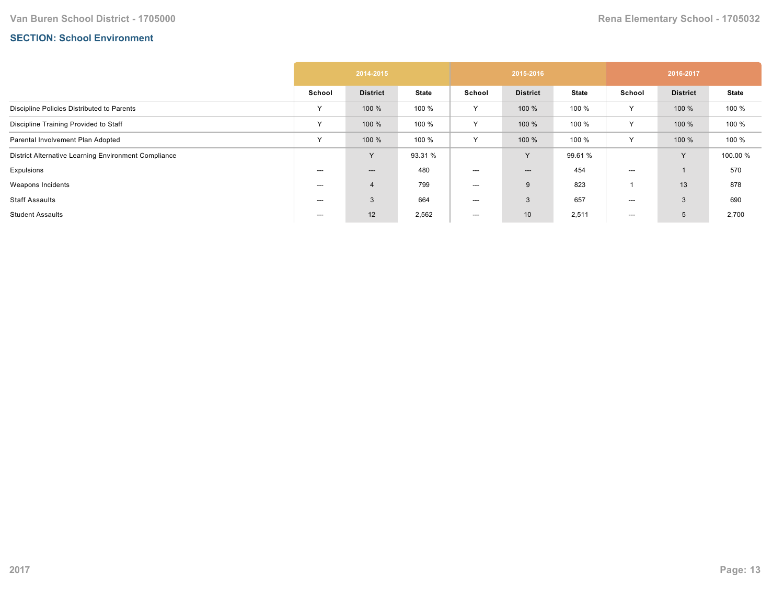# **SECTION: School Environment**

|                                                      | 2014-2015 |                 |              | 2015-2016    |                          |              | 2016-2017    |                 |              |  |
|------------------------------------------------------|-----------|-----------------|--------------|--------------|--------------------------|--------------|--------------|-----------------|--------------|--|
|                                                      | School    | <b>District</b> | <b>State</b> | School       | <b>District</b>          | <b>State</b> | School       | <b>District</b> | <b>State</b> |  |
| Discipline Policies Distributed to Parents           | Y         | 100 %           | 100 %        | Y            | 100 %                    | 100 %        | $\checkmark$ | 100 %           | 100 %        |  |
| Discipline Training Provided to Staff                | Y         | 100 %           | 100 %        | $\mathsf{v}$ | 100 %                    | 100 %        | $\sqrt{}$    | 100 %           | 100 %        |  |
| Parental Involvement Plan Adopted                    | Y         | 100 %           | 100 %        | Y            | 100 %                    | 100 %        | $\checkmark$ | 100 %           | 100 %        |  |
| District Alternative Learning Environment Compliance |           | $\vee$          | 93.31 %      |              | Y                        | 99.61 %      |              | Y               | 100.00 %     |  |
| Expulsions                                           | ---       | ---             | 480          | ---          | $\hspace{0.05cm} \ldots$ | 454          | ---          |                 | 570          |  |
| Weapons Incidents                                    | ---       | $\overline{4}$  | 799          | $---$        | 9                        | 823          |              | 13              | 878          |  |
| <b>Staff Assaults</b>                                | $---$     | 3               | 664          | $---$        | 3                        | 657          | ---          | 3               | 690          |  |
| <b>Student Assaults</b>                              | ---       | 12              | 2,562        | $--$         | 10 <sup>1</sup>          | 2,511        | ---          | 5               | 2,700        |  |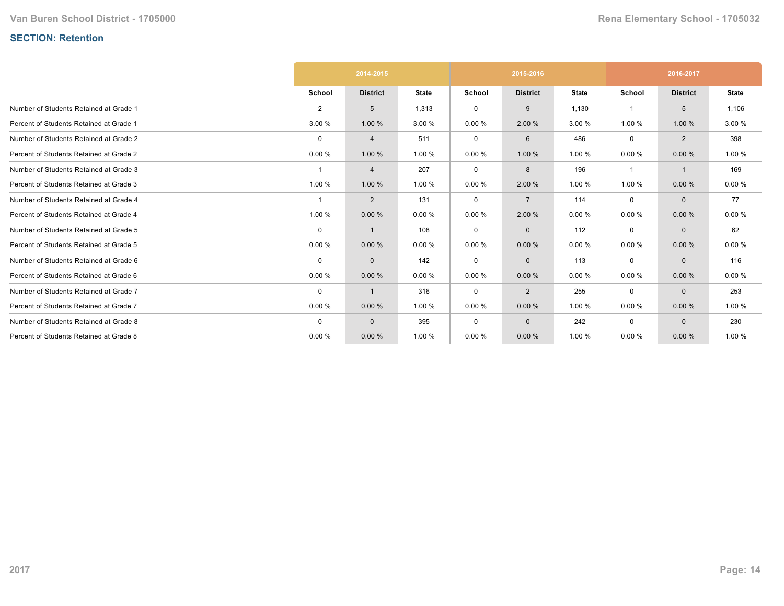# **SECTION: Retention**

|                                         |             | 2014-2015       |              |             | 2015-2016       |              | 2016-2017   |                 |              |
|-----------------------------------------|-------------|-----------------|--------------|-------------|-----------------|--------------|-------------|-----------------|--------------|
|                                         | School      | <b>District</b> | <b>State</b> | School      | <b>District</b> | <b>State</b> | School      | <b>District</b> | <b>State</b> |
| Number of Students Retained at Grade 1  | 2           | 5               | 1,313        | $\mathbf 0$ | 9               | 1,130        |             | 5               | 1,106        |
| Percent of Students Retained at Grade 1 | 3.00 %      | 1.00 %          | 3.00 %       | 0.00%       | 2.00 %          | 3.00 %       | 1.00 %      | 1.00 %          | 3.00 %       |
| Number of Students Retained at Grade 2  | $\mathbf 0$ | 4               | 511          | $\mathbf 0$ | 6               | 486          | $\mathbf 0$ | $\overline{2}$  | 398          |
| Percent of Students Retained at Grade 2 | 0.00%       | 1.00 %          | 1.00 %       | 0.00%       | 1.00 %          | 1.00 %       | 0.00%       | 0.00%           | 1.00 %       |
| Number of Students Retained at Grade 3  |             | 4               | 207          | 0           | 8               | 196          | -1          | $\mathbf{1}$    | 169          |
| Percent of Students Retained at Grade 3 | 1.00 %      | 1.00 %          | 1.00 %       | 0.00%       | 2.00 %          | 1.00 %       | 1.00 %      | 0.00%           | 0.00%        |
| Number of Students Retained at Grade 4  | -1          | $\overline{2}$  | 131          | $\mathbf 0$ | $\overline{7}$  | 114          | $\mathbf 0$ | $\mathbf{0}$    | 77           |
| Percent of Students Retained at Grade 4 | 1.00 %      | 0.00%           | 0.00%        | 0.00%       | 2.00 %          | 0.00%        | 0.00%       | 0.00%           | 0.00%        |
| Number of Students Retained at Grade 5  | $\mathbf 0$ | 1               | 108          | 0           | $\mathbf 0$     | 112          | 0           | $\Omega$        | 62           |
| Percent of Students Retained at Grade 5 | 0.00%       | 0.00%           | 0.00%        | 0.00%       | 0.00%           | 0.00%        | 0.00%       | 0.00%           | 0.00%        |
| Number of Students Retained at Grade 6  | $\Omega$    | $\mathbf{0}$    | 142          | 0           | $\mathbf 0$     | 113          | $\mathbf 0$ | $\mathbf{0}$    | 116          |
| Percent of Students Retained at Grade 6 | 0.00%       | 0.00%           | 0.00%        | 0.00%       | 0.00%           | 0.00%        | 0.00%       | 0.00%           | 0.00%        |
| Number of Students Retained at Grade 7  | $\mathbf 0$ | 1               | 316          | 0           | 2               | 255          | $\mathbf 0$ | $\mathbf{0}$    | 253          |
| Percent of Students Retained at Grade 7 | 0.00%       | 0.00%           | 1.00 %       | 0.00%       | 0.00%           | 1.00 %       | 0.00%       | 0.00%           | 1.00 %       |
| Number of Students Retained at Grade 8  | $\Omega$    | $\mathbf{0}$    | 395          | $\mathbf 0$ | $\mathbf 0$     | 242          | $\mathbf 0$ | $\Omega$        | 230          |
| Percent of Students Retained at Grade 8 | 0.00%       | 0.00%           | 1.00 %       | 0.00%       | 0.00%           | 1.00 %       | 0.00%       | 0.00%           | 1.00 %       |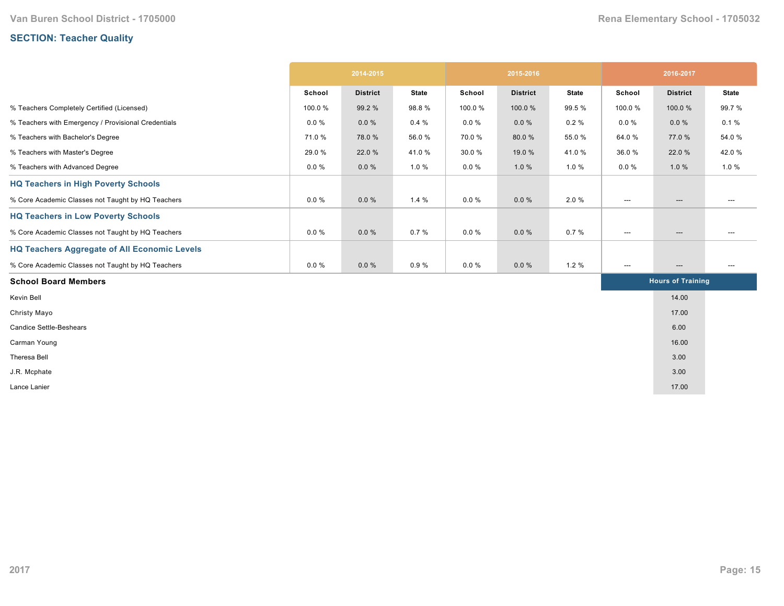# **SECTION: Teacher Quality**

|                                                     | 2014-2015 |                 |              | 2015-2016 |                 |              | 2016-2017                |                          |              |
|-----------------------------------------------------|-----------|-----------------|--------------|-----------|-----------------|--------------|--------------------------|--------------------------|--------------|
|                                                     | School    | <b>District</b> | <b>State</b> | School    | <b>District</b> | <b>State</b> | School                   | <b>District</b>          | <b>State</b> |
| % Teachers Completely Certified (Licensed)          | 100.0%    | 99.2 %          | 98.8%        | 100.0%    | 100.0%          | 99.5 %       | 100.0%                   | 100.0%                   | 99.7%        |
| % Teachers with Emergency / Provisional Credentials | $0.0 \%$  | $0.0 \%$        | 0.4%         | $0.0 \%$  | $0.0 \%$        | $0.2 \%$     | $0.0 \%$                 | $0.0 \%$                 | 0.1%         |
| % Teachers with Bachelor's Degree                   | 71.0%     | 78.0%           | 56.0%        | 70.0%     | 80.0%           | 55.0%        | 64.0%                    | 77.0 %                   | 54.0 %       |
| % Teachers with Master's Degree                     | 29.0 %    | 22.0 %          | 41.0%        | 30.0%     | 19.0 %          | 41.0%        | 36.0%                    | 22.0 %                   | 42.0%        |
| % Teachers with Advanced Degree                     | $0.0 \%$  | $0.0 \%$        | 1.0 %        | $0.0 \%$  | 1.0%            | 1.0%         | $0.0 \%$                 | 1.0%                     | 1.0%         |
| <b>HQ Teachers in High Poverty Schools</b>          |           |                 |              |           |                 |              |                          |                          |              |
| % Core Academic Classes not Taught by HQ Teachers   | $0.0 \%$  | $0.0 \%$        | 1.4%         | $0.0 \%$  | $0.0 \%$        | 2.0%         | ---                      | $\hspace{0.05cm} \ldots$ | ---          |
| <b>HQ Teachers in Low Poverty Schools</b>           |           |                 |              |           |                 |              |                          |                          |              |
| % Core Academic Classes not Taught by HQ Teachers   | $0.0 \%$  | $0.0 \%$        | 0.7%         | $0.0 \%$  | $0.0 \%$        | 0.7%         | $\hspace{0.05cm} \ldots$ | $\hspace{0.05cm} \ldots$ | $---$        |
| <b>HQ Teachers Aggregate of All Economic Levels</b> |           |                 |              |           |                 |              |                          |                          |              |
| % Core Academic Classes not Taught by HQ Teachers   | $0.0 \%$  | $0.0 \%$        | 0.9%         | $0.0 \%$  | $0.0 \%$        | 1.2%         | ---                      | $\hspace{0.05cm} \ldots$ | ---          |
| <b>School Board Members</b>                         |           |                 |              |           |                 |              |                          | <b>Hours of Training</b> |              |
| Kevin Bell                                          |           |                 |              |           |                 |              |                          | 14.00                    |              |
| Christy Mayo                                        |           |                 |              |           |                 |              |                          | 17.00                    |              |
| <b>Candice Settle-Beshears</b>                      |           |                 |              |           |                 |              |                          | 6.00                     |              |
| Carman Young                                        |           |                 |              |           |                 |              |                          | 16.00                    |              |
| Theresa Bell                                        |           |                 |              |           |                 |              |                          | 3.00                     |              |
| J.R. Mcphate                                        |           |                 |              |           |                 |              |                          | 3.00                     |              |
| Lance Lanier                                        |           |                 |              |           |                 |              |                          | 17.00                    |              |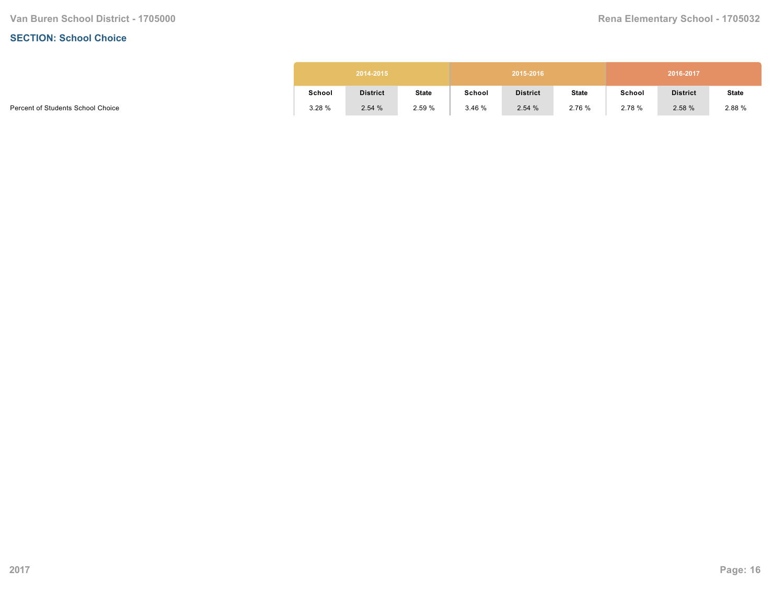#### **SECTION: School Choice**

|        | 2014-2015       |              |        | 2015-2016       |              |        | 2016-2017       |              |
|--------|-----------------|--------------|--------|-----------------|--------------|--------|-----------------|--------------|
| School | <b>District</b> | <b>State</b> | School | <b>District</b> | <b>State</b> | School | <b>District</b> | <b>State</b> |
| 3.28%  | 2.54%           | 2.59 %       | 3.46%  | 2.54%           | 2.76 %       | 2.78 % | 2.58%           | 2.88 %       |

Percent of Students School Choice